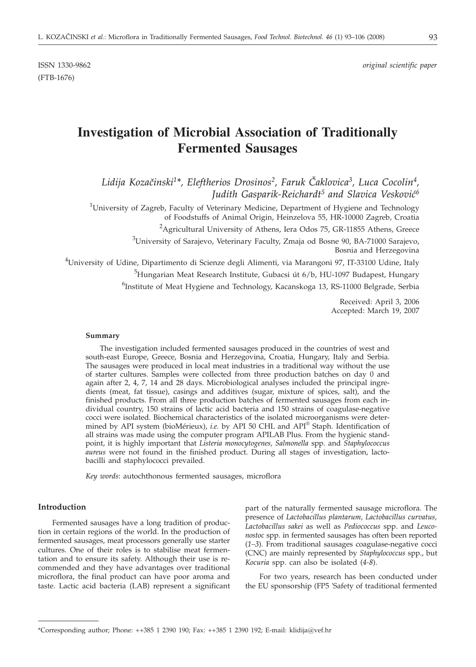(FTB-1676)

# **Investigation of Microbial Association of Traditionally Fermented Sausages**

Lidija Kozačinski<sup>1\*</sup>, Eleftherios Drosinos<sup>2</sup>, Faruk Čaklovica<sup>3</sup>, Luca Cocolin<sup>4</sup>, *Judith Gasparik-Reichardt<sup>5</sup> and Slavica Vesković*<sup>6</sup>

<sup>1</sup>University of Zagreb, Faculty of Veterinary Medicine, Department of Hygiene and Technology of Foodstuffs of Animal Origin, Heinzelova 55, HR-10000 Zagreb, Croatia

<sup>2</sup>Agricultural University of Athens, Iera Odos 75, GR-11855 Athens, Greece

 $^3$ University of Sarajevo, Veterinary Faculty, Zmaja od Bosne 90, BA-71000 Sarajevo, Bosnia and Herzegovina

4 University of Udine, Dipartimento di Scienze degli Alimenti, via Marangoni 97, IT-33100 Udine, Italy

<sup>5</sup>Hungarian Meat Research Institute, Gubacsi út 6/b, HU-1097 Budapest, Hungary

<sup>6</sup>Institute of Meat Hygiene and Technology, Kacanskoga 13, RS-11000 Belgrade, Serbia

Received: April 3, 2006 Accepted: March 19, 2007

#### **Summary**

The investigation included fermented sausages produced in the countries of west and south-east Europe, Greece, Bosnia and Herzegovina, Croatia, Hungary, Italy and Serbia. The sausages were produced in local meat industries in a traditional way without the use of starter cultures. Samples were collected from three production batches on day 0 and again after 2, 4, 7, 14 and 28 days. Microbiological analyses included the principal ingredients (meat, fat tissue), casings and additives (sugar, mixture of spices, salt), and the finished products. From all three production batches of fermented sausages from each individual country, 150 strains of lactic acid bacteria and 150 strains of coagulase-negative cocci were isolated*.* Biochemical characteristics of the isolated microorganisms were determined by API system (bioMérieux), *i.e.* by API 50 CHL and API® Staph. Identification of all strains was made using the computer program APILAB Plus. From the hygienic standpoint, it is highly important that *Listeria monocytogenes, Salmonella* spp. and *Staphylococcus aureus* were not found in the finished product. During all stages of investigation, lactobacilli and staphylococci prevailed.

*Key words*: autochthonous fermented sausages, microflora

#### **Introduction**

Fermented sausages have a long tradition of production in certain regions of the world. In the production of fermented sausages, meat processors generally use starter cultures. One of their roles is to stabilise meat fermentation and to ensure its safety. Although their use is recommended and they have advantages over traditional microflora, the final product can have poor aroma and taste. Lactic acid bacteria (LAB) represent a significant part of the naturally fermented sausage microflora. The presence of *Lactobacillus plantarum, Lactobacillus curvatus, Lactobacillus sakei* as well as *Pediococcus* spp. and *Leuconostoc* spp*.* in fermented sausages has often been reported (*1–3*). From traditional sausages coagulase-negative cocci (CNC) are mainly represented by *Staphylococcus* spp., but *Kocuria* spp. can also be isolated (*4-8*).

For two years, research has been conducted under the EU sponsorship (FP5 'Safety of traditional fermented

<sup>\*</sup>Corresponding author; Phone: ++385 1 2390 190; Fax: ++385 1 2390 192; E-mail: klidija*@*vef.hr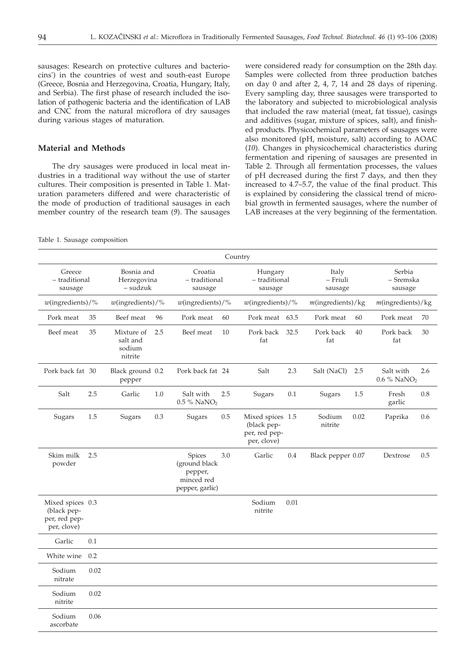sausages: Research on protective cultures and bacteriocins') in the countries of west and south-east Europe (Greece, Bosnia and Herzegovina, Croatia, Hungary, Italy, and Serbia). The first phase of research included the isolation of pathogenic bacteria and the identification of LAB and CNC from the natural microflora of dry sausages during various stages of maturation.

#### **Material and Methods**

The dry sausages were produced in local meat industries in a traditional way without the use of starter cultures. Their composition is presented in Table 1. Maturation parameters differed and were characteristic of the mode of production of traditional sausages in each member country of the research team (*9*). The sausages

were considered ready for consumption on the 28th day. Samples were collected from three production batches on day 0 and after 2, 4, 7, 14 and 28 days of ripening. Every sampling day, three sausages were transported to the laboratory and subjected to microbiological analysis that included the raw material (meat, fat tissue), casings and additives (sugar, mixture of spices, salt), and finished products. Physicochemical parameters of sausages were also monitored (pH, moisture, salt) according to AOAC (*10*). Changes in physicochemical characteristics during fermentation and ripening of sausages are presented in Table 2. Through all fermentation processes, the values of pH decreased during the first 7 days, and then they increased to 4.7–5.7, the value of the final product. This is explained by considering the classical trend of microbial growth in fermented sausages, where the number of LAB increases at the very beginning of the fermentation.

Table 1. Sausage composition

|                                                                 |      |                                             |     |                                                                     |     | Country                                                         |      |                              |      |                                      |     |
|-----------------------------------------------------------------|------|---------------------------------------------|-----|---------------------------------------------------------------------|-----|-----------------------------------------------------------------|------|------------------------------|------|--------------------------------------|-----|
| Greece<br>- traditional<br>sausage                              |      | Bosnia and<br>Herzegovina<br>- sudzuk       |     | Croatia<br>- traditional<br>sausage                                 |     | Hungary<br>- traditional<br>sausage                             |      | Italy<br>- Friuli<br>sausage |      | Serbia<br>- Sremska<br>sausage       |     |
| $w($ ingredients $)/\%$                                         |      | $w($ ingredients $)/\%$                     |     | $w($ ingredients $)/\%$                                             |     | $w($ ingredients $)/\%$                                         |      | $m$ (ingredients)/kg         |      | $m$ (ingredients)/kg                 |     |
| Pork meat                                                       | 35   | Beef meat                                   | 96  | Pork meat                                                           | 60  | Pork meat                                                       | 63.5 | Pork meat                    | 60   | Pork meat                            | 70  |
| Beef meat                                                       | 35   | Mixture of<br>salt and<br>sodium<br>nitrite | 2.5 | Beef meat                                                           | 10  | Pork back<br>fat                                                | 32.5 | Pork back<br>fat             | 40   | Pork back<br>fat                     | 30  |
| Pork back fat 30                                                |      | Black ground 0.2<br>pepper                  |     | Pork back fat 24                                                    |     | Salt                                                            | 2.3  | Salt (NaCl)                  | 2.5  | Salt with<br>0.6 % NaNO <sub>2</sub> | 2.6 |
| Salt                                                            | 2.5  | Garlic                                      | 1.0 | Salt with<br>$0.5\%$ NaNO <sub>2</sub>                              | 2.5 | Sugars                                                          | 0.1  | Sugars                       | 1.5  | Fresh<br>garlic                      | 0.8 |
| Sugars                                                          | 1.5  | Sugars                                      | 0.3 | Sugars                                                              | 0.5 | Mixed spices 1.5<br>(black pep-<br>per, red pep-<br>per, clove) |      | Sodium<br>nitrite            | 0.02 | Paprika                              | 0.6 |
| Skim milk<br>powder                                             | 2.5  |                                             |     | Spices<br>(ground black<br>pepper,<br>minced red<br>pepper, garlic) | 3.0 | Garlic                                                          | 0.4  | Black pepper 0.07            |      | Dextrose                             | 0.5 |
| Mixed spices 0.3<br>(black pep-<br>per, red pep-<br>per, clove) |      |                                             |     |                                                                     |     | Sodium<br>nitrite                                               | 0.01 |                              |      |                                      |     |
| Garlic                                                          | 0.1  |                                             |     |                                                                     |     |                                                                 |      |                              |      |                                      |     |
| White wine                                                      | 0.2  |                                             |     |                                                                     |     |                                                                 |      |                              |      |                                      |     |
| Sodium<br>nitrate                                               | 0.02 |                                             |     |                                                                     |     |                                                                 |      |                              |      |                                      |     |
| Sodium<br>nitrite                                               | 0.02 |                                             |     |                                                                     |     |                                                                 |      |                              |      |                                      |     |
| Sodium<br>ascorbate                                             | 0.06 |                                             |     |                                                                     |     |                                                                 |      |                              |      |                                      |     |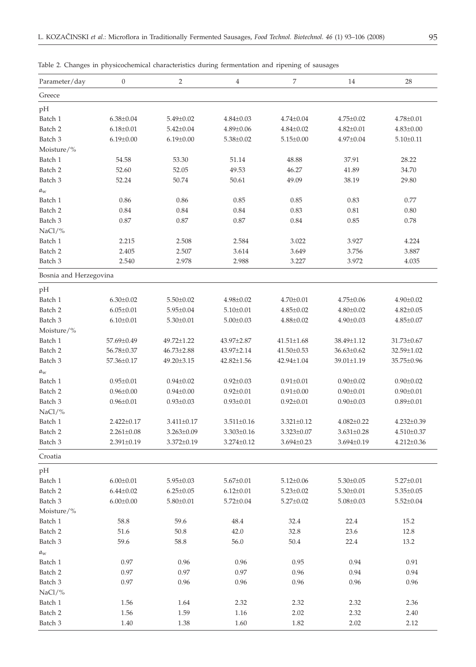| Parameter/day          | $\boldsymbol{0}$ | $\overline{2}$   | $\overline{4}$   | 7                | 14               | 28               |
|------------------------|------------------|------------------|------------------|------------------|------------------|------------------|
| Greece                 |                  |                  |                  |                  |                  |                  |
| pH                     |                  |                  |                  |                  |                  |                  |
| Batch 1                | $6.38 \pm 0.04$  | $5.49 \pm 0.02$  | $4.84 \pm 0.03$  | $4.74 \pm 0.04$  | $4.75 \pm 0.02$  | $4.78 \pm 0.01$  |
| Batch 2                | $6.18 \pm 0.01$  | $5.42 \pm 0.04$  | $4.89 \pm 0.06$  | $4.84 \pm 0.02$  | $4.82 \pm 0.01$  | $4.83 \pm 0.00$  |
| Batch 3                | $6.19 \pm 0.00$  | $6.19 \pm 0.00$  | $5.38 \pm 0.02$  | $5.15 \pm 0.00$  | $4.97 \pm 0.04$  | $5.10 \pm 0.11$  |
| Moisture/%             |                  |                  |                  |                  |                  |                  |
| Batch 1                | 54.58            | 53.30            | 51.14            | 48.88            | 37.91            | 28.22            |
| Batch 2                | 52.60            | 52.05            | 49.53            | 46.27            | 41.89            | 34.70            |
| Batch 3                | 52.24            | 50.74            | 50.61            | 49.09            | 38.19            | 29.80            |
| $a_{\rm w}$            |                  |                  |                  |                  |                  |                  |
| Batch 1                | 0.86             | 0.86             | 0.85             | 0.85             | 0.83             | 0.77             |
| Batch 2                | 0.84             | 0.84             | 0.84             | 0.83             | 0.81             | 0.80             |
| Batch 3                | 0.87             | 0.87             | 0.87             | 0.84             | 0.85             | 0.78             |
| NaCl/%                 |                  |                  |                  |                  |                  |                  |
| Batch 1                | 2.215            | 2.508            | 2.584            | 3.022            | 3.927            | 4.224            |
| Batch 2                | 2.405            | 2.507            | 3.614            | 3.649            | 3.756            | 3.887            |
| Batch 3                | 2.540            | 2.978            | 2.988            | 3.227            | 3.972            | 4.035            |
| Bosnia and Herzegovina |                  |                  |                  |                  |                  |                  |
| pH                     |                  |                  |                  |                  |                  |                  |
| Batch 1                | $6.30 \pm 0.02$  | $5.50 \pm 0.02$  | $4.98 \pm 0.02$  | $4.70 \pm 0.01$  | $4.75 \pm 0.06$  | $4.90 \pm 0.02$  |
| Batch 2                | $6.05 \pm 0.01$  | $5.95 \pm 0.04$  | $5.10 \pm 0.01$  | $4.85 \pm 0.02$  | $4.80 \pm 0.02$  | $4.82 \pm 0.05$  |
| Batch 3                | $6.10 \pm 0.01$  | $5.30 \pm 0.01$  | $5.00 \pm 0.03$  | $4.88 \pm 0.02$  | $4.90 \pm 0.03$  | $4.85 \pm 0.07$  |
| Moisture/%             |                  |                  |                  |                  |                  |                  |
| Batch 1                | 57.69±0.49       | 49.72±1.22       | 43.97±2.87       | $41.51 \pm 1.68$ | 38.49±1.12       | 31.73±0.67       |
| Batch 2                | 56.78±0.37       | $46.73 \pm 2.88$ | 43.97±2.14       | $41.50 \pm 0.53$ | $36.63 \pm 0.62$ | 32.59±1.02       |
| Batch 3                | 57.36±0.17       | 49.20±3.15       | 42.82±1.56       | 42.94±1.04       | 39.01±1.19       | 35.75±0.96       |
| $a_w$                  |                  |                  |                  |                  |                  |                  |
| Batch 1                | $0.95 \pm 0.01$  | $0.94 \pm 0.02$  | $0.92 \pm 0.03$  | $0.91 \pm 0.01$  | $0.90 \pm 0.02$  | $0.90 \pm 0.02$  |
| Batch 2                | $0.96 \pm 0.00$  | $0.94 \pm 0.00$  | $0.92 \pm 0.01$  | $0.91 \pm 0.00$  | $0.90 \pm 0.01$  | $0.90 \pm 0.01$  |
| Batch 3                | $0.96 \pm 0.01$  | $0.93 \pm 0.03$  | $0.93 \pm 0.01$  | $0.92 \pm 0.01$  | $0.90 \pm 0.03$  | $0.89 \pm 0.01$  |
| NaCl/%                 |                  |                  |                  |                  |                  |                  |
| Batch 1                | $2.422 \pm 0.17$ | $3.411 \pm 0.17$ | $3.511 \pm 0.16$ | $3.321 \pm 0.12$ | $4.082 \pm 0.22$ | $4.232 \pm 0.39$ |
| Batch 2                | $2.261 \pm 0.08$ | $3.263 \pm 0.09$ | $3.303 \pm 0.16$ | $3.323 \pm 0.07$ | $3.631 \pm 0.28$ | $4.510 \pm 0.37$ |
| Batch 3                | $2.391 \pm 0.19$ | $3.372 \pm 0.19$ | $3.274 \pm 0.12$ | $3.694 \pm 0.23$ | $3.694 \pm 0.19$ | $4.212 \pm 0.36$ |
| Croatia                |                  |                  |                  |                  |                  |                  |
| pH                     |                  |                  |                  |                  |                  |                  |
| Batch 1                | $6.00 \pm 0.01$  | $5.95 \pm 0.03$  | $5.67 \pm 0.01$  | $5.12 \pm 0.06$  | $5.30 \pm 0.05$  | $5.27 \pm 0.01$  |
| Batch 2                | $6.44 \pm 0.02$  | $6.25 \pm 0.05$  | $6.12 \pm 0.01$  | $5.23 \pm 0.02$  | $5.30 \pm 0.01$  | $5.35 \pm 0.05$  |
| Batch 3                | $6.00 \pm 0.00$  | $5.80 \pm 0.01$  | $5.72 \pm 0.04$  | $5.27 \pm 0.02$  | $5.08 \pm 0.03$  | $5.52 \pm 0.04$  |
| Moisture/%             |                  |                  |                  |                  |                  |                  |
| Batch 1                | 58.8             | 59.6             | 48.4             | 32.4             | 22.4             | 15.2             |
| Batch 2                | 51.6             | 50.8             | 42.0             | 32.8             | 23.6             | 12.8             |
| Batch 3                | 59.6             | 58.8             | 56.0             | 50.4             | 22.4             | 13.2             |
| $a_{\rm w}$            |                  |                  |                  |                  |                  |                  |
| Batch 1                | 0.97             | 0.96             | 0.96             | 0.95             | 0.94             | 0.91             |
| Batch 2                | 0.97             | 0.97             | 0.97             | 0.96             | 0.94             | 0.94             |
| Batch 3                | 0.97             | 0.96             | 0.96             | 0.96             | 0.96             | 0.96             |
| NaCl/%                 |                  |                  |                  |                  |                  |                  |
| Batch 1                | 1.56             | 1.64             | 2.32             | 2.32             | 2.32             | 2.36             |
| Batch 2                | 1.56             | 1.59             | 1.16             | 2.02             | 2.32             | 2.40             |
| Batch 3                | 1.40             | 1.38             | 1.60             | 1.82             | 2.02             | 2.12             |
|                        |                  |                  |                  |                  |                  |                  |

Table 2. Changes in physicochemical characteristics during fermentation and ripening of sausages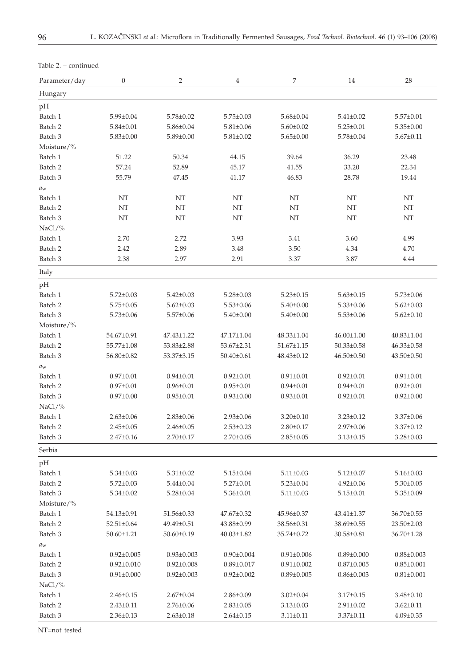| Parameter/day      | $\overline{0}$   | $\sqrt{2}$       | $\overline{4}$   | 7                | 14               | 28               |
|--------------------|------------------|------------------|------------------|------------------|------------------|------------------|
| Hungary            |                  |                  |                  |                  |                  |                  |
| pH                 |                  |                  |                  |                  |                  |                  |
| Batch 1            | $5.99 \pm 0.04$  | $5.78 \pm 0.02$  | $5.75 \pm 0.03$  | $5.68 \pm 0.04$  | $5.41 \pm 0.02$  | $5.57 \pm 0.01$  |
| Batch 2            | $5.84 \pm 0.01$  | $5.86 \pm 0.04$  | $5.81 \pm 0.06$  | $5.60 \pm 0.02$  | $5.25 \pm 0.01$  | $5.35 \pm 0.00$  |
| Batch 3            | $5.83 \pm 0.00$  | $5.89 \pm 0.00$  | $5.81 \pm 0.02$  | $5.65 \pm 0.00$  | $5.78 \pm 0.04$  | $5.67 \pm 0.11$  |
| Moisture/%         |                  |                  |                  |                  |                  |                  |
| Batch 1            | 51.22            | 50.34            | 44.15            | 39.64            | 36.29            | 23.48            |
| Batch <sub>2</sub> | 57.24            | 52.89            | 45.17            | 41.55            | 33.20            | 22.34            |
| Batch 3            | 55.79            | 47.45            | 41.17            | 46.83            | 28.78            | 19.44            |
| $a_{\rm w}$        |                  |                  |                  |                  |                  |                  |
| Batch 1            | NT               | NT               | NT               | NT               | NT               | NT               |
| Batch 2            | NT               | NT               | NT               | NT               | NT               | NT               |
| Batch 3            | NT               | NT               | NT               | NT               | NT               | NT               |
| NaCl/%             |                  |                  |                  |                  |                  |                  |
| Batch 1            | 2.70             | 2.72             | 3.93             | 3.41             | 3.60             | 4.99             |
| Batch 2            | 2.42             | 2.89             | 3.48             | 3.50             | 4.34             | 4.70             |
| Batch <sub>3</sub> | 2.38             | 2.97             | 2.91             | 3.37             | 3.87             | 4.44             |
| Italy              |                  |                  |                  |                  |                  |                  |
| pH                 |                  |                  |                  |                  |                  |                  |
| Batch 1            | $5.72 \pm 0.03$  | $5.42 \pm 0.03$  | $5.28 \pm 0.03$  | $5.23 \pm 0.15$  | $5.63 \pm 0.15$  | $5.73 \pm 0.06$  |
| Batch 2            | $5.75 \pm 0.05$  | $5.62 \pm 0.03$  | $5.53 \pm 0.06$  | $5.40 \pm 0.00$  | $5.33 \pm 0.06$  | $5.62 \pm 0.03$  |
| Batch 3            | $5.73 \pm 0.06$  | $5.57 \pm 0.06$  | $5.40 \pm 0.00$  | $5.40 \pm 0.00$  | $5.53 \pm 0.06$  | $5.62 \pm 0.10$  |
| Moisture/%         |                  |                  |                  |                  |                  |                  |
| Batch 1            | 54.67±0.91       | 47.43±1.22       | 47.17±1.04       | 48.33±1.04       | $46.00 \pm 1.00$ | 40.83±1.04       |
| Batch 2            | 55.77±1.08       | $53.83 \pm 2.88$ | 53.67±2.31       | 51.67±1.15       | $50.33 \pm 0.58$ | $46.33 \pm 0.58$ |
| Batch 3            | 56.80±0.82       | 53.37±3.15       | $50.40 \pm 0.61$ | 48.43±0.12       | $46.50 \pm 0.50$ | 43.50±0.50       |
| $a_{\rm w}$        |                  |                  |                  |                  |                  |                  |
| Batch 1            | $0.97 \pm 0.01$  | $0.94 \pm 0.01$  | $0.92 \pm 0.01$  | $0.91 \pm 0.01$  | $0.92 \pm 0.01$  | $0.91 \pm 0.01$  |
| Batch 2            | $0.97 \pm 0.01$  | $0.96 \pm 0.01$  | $0.95 \pm 0.01$  | $0.94 \pm 0.01$  | $0.94 \pm 0.01$  | $0.92 \pm 0.01$  |
| Batch 3            | $0.97 \pm 0.00$  | $0.95 \pm 0.01$  | $0.93 \pm 0.00$  | $0.93 \pm 0.01$  | $0.92 \pm 0.01$  | $0.92 \pm 0.00$  |
| NaCl/%             |                  |                  |                  |                  |                  |                  |
| Batch 1            | $2.63 \pm 0.06$  | $2.83 \pm 0.06$  | $2.93 \pm 0.06$  | $3.20 \pm 0.10$  | $3.23 \pm 0.12$  | $3.37 \pm 0.06$  |
| Batch 2            | $2.45 \pm 0.05$  | $2.46 \pm 0.05$  | $2.53 \pm 0.23$  | $2.80 \pm 0.17$  | $2.97 \pm 0.06$  | $3.37 \pm 0.12$  |
| Batch 3            | $2.47 \pm 0.16$  | $2.70 \pm 0.17$  | $2.70 \pm 0.05$  | $2.85 \pm 0.05$  | $3.13 \pm 0.15$  | $3.28 \pm 0.03$  |
|                    |                  |                  |                  |                  |                  |                  |
| Serbia             |                  |                  |                  |                  |                  |                  |
| pH                 |                  |                  |                  |                  |                  |                  |
| Batch 1            | $5.34 \pm 0.03$  | $5.31 \pm 0.02$  | $5.15 \pm 0.04$  | $5.11 \pm 0.03$  | $5.12 \pm 0.07$  | $5.16 \pm 0.03$  |
| Batch 2            | $5.72 \pm 0.03$  | $5.44 \pm 0.04$  | $5.27 \pm 0.01$  | $5.23 \pm 0.04$  | $4.92 \pm 0.06$  | $5.30 \pm 0.05$  |
| Batch 3            | $5.34 \pm 0.02$  | $5.28 \pm 0.04$  | $5.36 \pm 0.01$  | $5.11 \pm 0.03$  | $5.15 \pm 0.01$  | $5.35 \pm 0.09$  |
| Moisture/%         |                  |                  |                  |                  |                  |                  |
| Batch 1            | $54.13 \pm 0.91$ | 51.56±0.33       | $47.67 \pm 0.32$ | 45.96±0.37       | 43.41±1.37       | 36.70±0.55       |
| Batch 2            | $52.51 \pm 0.64$ | $49.49 \pm 0.51$ | 43.88±0.99       | 38.56±0.31       | 38.69±0.55       | $23.50 \pm 2.03$ |
| Batch 3            | $50.60 \pm 1.21$ | 50.60±0.19       | $40.03 \pm 1.82$ | 35.74±0.72       | 30.58±0.81       | 36.70±1.28       |
| $a_{\rm w}$        |                  |                  |                  |                  |                  |                  |
| Batch 1            | $0.92 \pm 0.005$ | $0.93 \pm 0.003$ | $0.90 \pm 0.004$ | $0.91 \pm 0.006$ | $0.89 \pm 0.000$ | $0.88 \pm 0.003$ |
| Batch 2            | $0.92 \pm 0.010$ | $0.92 \pm 0.008$ | $0.89 \pm 0.017$ | $0.91 \pm 0.002$ | $0.87 \pm 0.005$ | $0.85 \pm 0.001$ |
| Batch 3            | $0.91 \pm 0.000$ | $0.92 \pm 0.003$ | $0.92 \pm 0.002$ | $0.89 \pm 0.005$ | $0.86 \pm 0.003$ | $0.81 \pm 0.001$ |
| NaCl/%             |                  |                  |                  |                  |                  |                  |
| Batch 1            | $2.46 \pm 0.15$  | $2.67 \pm 0.04$  | $2.86 \pm 0.09$  | $3.02 \pm 0.04$  | $3.17 \pm 0.15$  | $3.48 \pm 0.10$  |
| Batch 2            | $2.43 \pm 0.11$  | $2.76 \pm 0.06$  | $2.83 \pm 0.05$  | $3.13 \pm 0.03$  | $2.91 \pm 0.02$  | $3.62 \pm 0.11$  |
| Batch 3            | $2.36 \pm 0.13$  | $2.63 \pm 0.18$  | $2.64 \pm 0.15$  | $3.11 \pm 0.11$  | $3.37 \pm 0.11$  | $4.09 \pm 0.35$  |

# Table 2. – continued

NT=not tested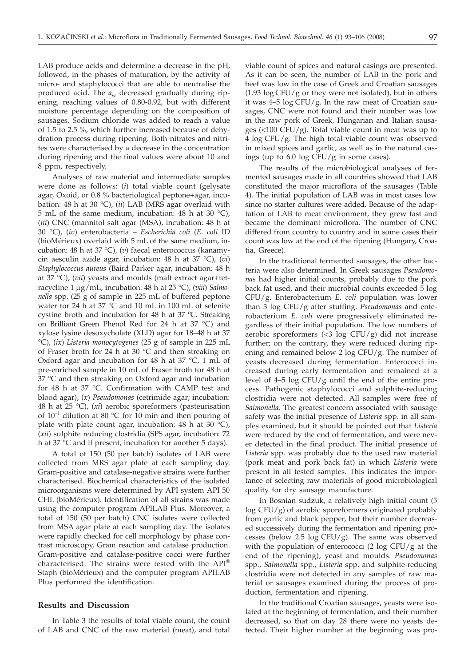LAB produce acids and determine a decrease in the pH, followed, in the phases of maturation, by the activity of micro- and staphylococci that are able to neutralise the produced acid. The  $a_w$  decreased gradually during ripening, reaching values of 0.80-0.92, but with different moisture percentage depending on the composition of sausages. Sodium chloride was added to reach a value of 1.5 to 2.5 %, which further increased because of dehydration process during ripening. Both nitrates and nitrites were characterised by a decrease in the concentration during ripening and the final values were about 10 and 8 ppm, respectively.

Analyses of raw material and intermediate samples were done as follows: (*i*) total viable count (gelysate agar, Oxoid, or 0.8 % bacteriological peptone+agar, incubation: 48 h at 30 °C), (*ii*) LAB (MRS agar overlaid with 5 mL of the same medium, incubation: 48 h at 30 °C), (*iii*) CNC (mannitol salt agar (MSA), incubation: 48 h at 30 °C), (*iv*) enterobacteria *– Escherichia coli* (*E. coli* ID (bioMérieux) overlaid with 5 mL of the same medium, incubation: 48 h at 37 °C), (*v*) faecal enterococcus (kanamycin aesculin azide agar, incubation: 48 h at 37 °C), (*vi*) *Staphylococcus aureus* (Baird Parker agar, incubation: 48 h at 37 °C), (*vii*) yeasts and moulds (malt extract agar+tetracycline 1  $\mu$ g/mL, incubation: 48 h at 25 °C), (*viii*) *Salmonella* spp. (25 g of sample in 225 mL of buffered peptone water for 24 h at 37 °C and 10 mL in 100 mL of selenite cystine broth and incubation for 48 h at 37 °C. Streaking on Brilliant Green Phenol Red for 24 h at 37 °C) and xylose lysine desoxycholate (XLD) agar for 18–48 h at 37 °C), (*ix*) *Listeria monocytogenes* (25 g of sample in 225 mL of Fraser broth for 24 h at 30 °C and then streaking on Oxford agar and incubation for 48 h at 37 °C, 1 mL of pre-enriched sample in 10 mL of Fraser broth for 48 h at 37 °C and then streaking on Oxford agar and incubation for 48 h at 37 °C. Confirmation with CAMP test and blood agar), (*x*) *Pseudomonas* (cetrimide agar; incubation: 48 h at 25 °C), (*xi*) aerobic sporeformers (pasteurisation of  $10^{-1}$  dilution at 80 °C for 10 min and then pouring of plate with plate count agar, incubation: 48 h at 30 °C), (*xii*) sulphite reducing clostridia (SPS agar, incubation: 72 h at 37 °C and if present, incubation for another 5 days).

A total of 150 (50 per batch) isolates of LAB were collected from MRS agar plate at each sampling day. Gram-positive and catalase-negative strains were further characterised. Biochemical characteristics of the isolated microorganisms were determined by API system API 50 CHL (bioMérieux). Identification of all strains was made using the computer program APILAB Plus. Moreover, a total of 150 (50 per batch) CNC isolates were collected from MSA agar plate at each sampling day. The isolates were rapidly checked for cell morphology by phase contrast microscopy, Gram reaction and catalase production. Gram-positive and catalase-positive cocci were further characterised. The strains were tested with the API® Staph (bioMérieux) and the computer program APILAB Plus performed the identification.

#### **Results and Discussion**

In Table 3 the results of total viable count, the count of LAB and CNC of the raw material (meat), and total

viable count of spices and natural casings are presented. As it can be seen, the number of LAB in the pork and beef was low in the case of Greek and Croatian sausages  $(1.93 \log CFU/g)$  or they were not isolated), but in others it was 4–5 log CFU/g. In the raw meat of Croatian sausages, CNC were not found and their number was low in the raw pork of Greek, Hungarian and Italian sausages (<100 CFU/g). Total viable count in meat was up to 4 log CFU/g. The high total viable count was observed in mixed spices and garlic, as well as in the natural casings (up to  $6.0 \log CFU/g$  in some cases).

The results of the microbiological analyses of fermented sausages made in all countries showed that LAB constituted the major microflora of the sausages (Table 4). The initial population of LAB was in most cases low since no starter cultures were added. Because of the adaptation of LAB to meat environment, they grew fast and became the dominant microflora. The number of CNC differed from country to country and in some cases their count was low at the end of the ripening (Hungary, Croatia, Greece).

In the traditional fermented sausages, the other bacteria were also determined. In Greek sausages *Pseudomonas* had higher initial counts, probably due to the pork back fat used, and their microbial counts exceeded 5 log CFU/g. Enterobacterium *E. coli* population was lower than 3 log CFU/g after stuffing. *Pseudomonas* and enterobacterium *E. coli* were progressively eliminated regardless of their initial population. The low numbers of aerobic sporeformers (<3 log CFU/g) did not increase further; on the contrary, they were reduced during ripening and remained below 2 log CFU/g. The number of yeasts decreased during fermentation. Enterococci increased during early fermentation and remained at a level of 4–5 log CFU/g until the end of the entire process. Pathogenic staphylococci and sulphite-reducing clostridia were not detected. All samples were free of *Salmonella*. The greatest concern associated with sausage safety was the initial presence of *Listeria* spp. in all samples examined, but it should be pointed out that *Listeria* were reduced by the end of fermentation, and were never detected in the final product. The initial presence of *Listeria* spp. was probably due to the used raw material (pork meat and pork back fat) in which *Listeria* were present in all tested samples. This indicates the importance of selecting raw materials of good microbiological quality for dry sausage manufacture.

In Bosnian sudzuk, a relatively high initial count (5 log CFU/g) of aerobic sporeformers originated probably from garlic and black pepper, but their number decreased successively during the fermentation and ripening processes (below  $2.5 \log CFU/g$ ). The same was observed with the population of enterococci (2 log CFU/g at the end of the ripening), yeast and moulds. *Pseudomonas* spp., *Salmonella* spp., *Listeria* spp. and sulphite-reducing clostridia were not detected in any samples of raw material or sausages examined during the process of production, fermentation and ripening.

In the traditional Croatian sausages, yeasts were isolated at the beginning of fermentation, and their number decreased, so that on day 28 there were no yeasts detected. Their higher number at the beginning was pro-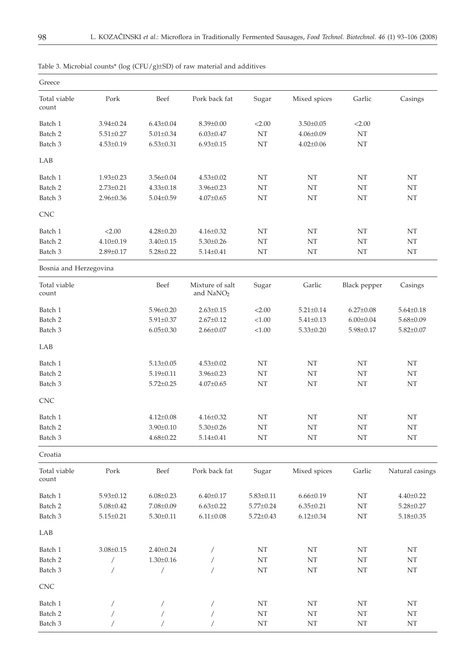| Greece                 |                 |                 |                                          |                 |                            |                 |                            |
|------------------------|-----------------|-----------------|------------------------------------------|-----------------|----------------------------|-----------------|----------------------------|
| Total viable<br>count  | Pork            | Beef            | Pork back fat                            | Sugar           | Mixed spices               | Garlic          | Casings                    |
| Batch 1                | $3.94 \pm 0.24$ | $6.43 \pm 0.04$ | $8.39 \pm 0.00$                          | < 2.00          | $3.50 \pm 0.05$            | < 2.00          |                            |
| Batch 2                | $5.51 \pm 0.27$ | $5.01 \pm 0.34$ | $6.03 \pm 0.47$                          | NT              | $4.06 \pm 0.09$            | $\rm{NT}$       |                            |
| Batch 3                | $4.53 \pm 0.19$ | $6.53 \pm 0.31$ | $6.93 \pm 0.15$                          | NT              | $4.02 \pm 0.06$            | $\rm{NT}$       |                            |
| LAB                    |                 |                 |                                          |                 |                            |                 |                            |
| Batch 1                | $1.93 \pm 0.23$ | $3.56 \pm 0.04$ | $4.53 \pm 0.02$                          | NT              | NT                         | NT              | NT                         |
| Batch 2                | $2.73 \pm 0.21$ | $4.33 \pm 0.18$ | $3.96 \pm 0.23$                          | NT              | NT                         | NT              | NT                         |
| Batch 3                | $2.96 \pm 0.36$ | $5.04 \pm 0.59$ | $4.07 \pm 0.65$                          | NT              | NT                         | NT              | $\rm{NT}$                  |
| CNC                    |                 |                 |                                          |                 |                            |                 |                            |
| Batch 1                | < 2.00          | $4.28 \pm 0.20$ | $4.16 \pm 0.32$                          | NT              | $\rm{NT}$                  | NT              | NT                         |
| Batch 2                | $4.10 \pm 0.19$ | $3.40 \pm 0.15$ | $5.30 \pm 0.26$                          | NT              | $\rm{NT}$                  | NT              | $\rm{NT}$                  |
| Batch 3                | $2.89 \pm 0.17$ | $5.28 \pm 0.22$ | $5.14 \pm 0.41$                          | NT              | NT                         | NT              | NT                         |
| Bosnia and Herzegovina |                 |                 |                                          |                 |                            |                 |                            |
| Total viable<br>count  |                 | Beef            | Mixture of salt<br>and NaNO <sub>2</sub> | Sugar           | Garlic                     | Black pepper    | Casings                    |
| Batch 1                |                 | $5.96 \pm 0.20$ | $2.63 \pm 0.15$                          | < 2.00          | $5.21 \pm 0.14$            | $6.27 \pm 0.08$ | $5.64 \pm 0.18$            |
| Batch 2                |                 | $5.91 \pm 0.37$ | $2.67 \pm 0.12$                          | < 1.00          | $5.41 \pm 0.13$            | $6.00 \pm 0.04$ | $5.68 \pm 0.09$            |
| Batch 3                |                 | $6.05 \pm 0.30$ | $2.66 \pm 0.07$                          | < 1.00          | $5.33 \pm 0.20$            | $5.98 \pm 0.17$ | $5.82 \pm 0.07$            |
| LAB                    |                 |                 |                                          |                 |                            |                 |                            |
| Batch 1                |                 | $5.13 \pm 0.05$ | $4.53 \pm 0.02$                          | NT              | NT                         | NT              | NT                         |
| Batch 2                |                 | $5.19 \pm 0.11$ | $3.96 \pm 0.23$                          | NT              | NT                         | NT              | NT                         |
| Batch 3                |                 | $5.72 \pm 0.25$ | $4.07 \pm 0.65$                          | NT              | $\rm{NT}$                  | NT              | NT                         |
| <b>CNC</b>             |                 |                 |                                          |                 |                            |                 |                            |
| Batch 1                |                 | $4.12 \pm 0.08$ | $4.16 \pm 0.32$                          | NT              | NT                         | NT              | NT                         |
| Batch 2                |                 | $3.90 \pm 0.10$ | $5.30 \pm 0.26$                          | NT              | $\rm{NT}$                  | NT              | $\rm{NT}$                  |
| Batch 3                |                 | $4.68 \pm 0.22$ | $5.14 \pm 0.41$                          | NT              | $\rm{NT}$                  | NT              | NT                         |
| Croatia                |                 |                 |                                          |                 |                            |                 |                            |
| Total viable<br>count  | Pork            | Beef            | Pork back fat                            | Sugar           | Mixed spices               | Garlic          | Natural casings            |
| Batch 1                | $5.93 \pm 0.12$ | $6.08 \pm 0.23$ | $6.40 \pm 0.17$                          | $5.83 \pm 0.11$ | $6.66 \pm 0.19$            | NT              | $4.40 \pm 0.22$            |
| Batch 2                | $5.08 \pm 0.42$ | $7.08 \pm 0.09$ | $6.63 \pm 0.22$                          | $5.77 \pm 0.24$ | $6.35 \pm 0.21$            | $\rm{NT}$       | $5.28 \pm 0.27$            |
| Batch 3                | $5.15 \pm 0.21$ | $5.30 \pm 0.11$ | $6.11 \pm 0.08$                          | $5.72 \pm 0.43$ | $6.12 \pm 0.34$            | NT              | $5.18 \pm 0.35$            |
| LAB                    |                 |                 |                                          |                 |                            |                 |                            |
| Batch 1                | $3.08 \pm 0.15$ | $2.40 \pm 0.24$ | $\overline{ }$                           | NT              | $\rm{NT}$                  | NT              | NT                         |
| Batch 2                | $\sqrt{2}$      | $1.30 \pm 0.16$ | $\overline{ }$                           | $\rm{NT}$       | $\rm{NT}$                  | NT              | NT                         |
| Batch 3                |                 | $\overline{1}$  | $\sqrt{2}$                               | $\rm{NT}$       | $\rm{NT}$                  | NT              | $\rm{NT}$                  |
| CNC                    |                 |                 |                                          |                 |                            |                 |                            |
| Batch 1                |                 |                 |                                          | NT              | $\mathop{\rm NT}\nolimits$ | NT              | NT                         |
| Batch 2                |                 |                 |                                          | $\rm{NT}$       | $\mathop{\rm NT}\nolimits$ | $\mathbf{NT}$   | $\rm{NT}$                  |
| Batch 3                |                 |                 |                                          | $\rm{NT}$       | $\rm{NT}$                  | NT              | $\mathop{\rm NT}\nolimits$ |

| Table 3. Microbial counts* ( $log (CFU/g) \pm SD$ ) of raw material and additives |  |  |  |
|-----------------------------------------------------------------------------------|--|--|--|
|-----------------------------------------------------------------------------------|--|--|--|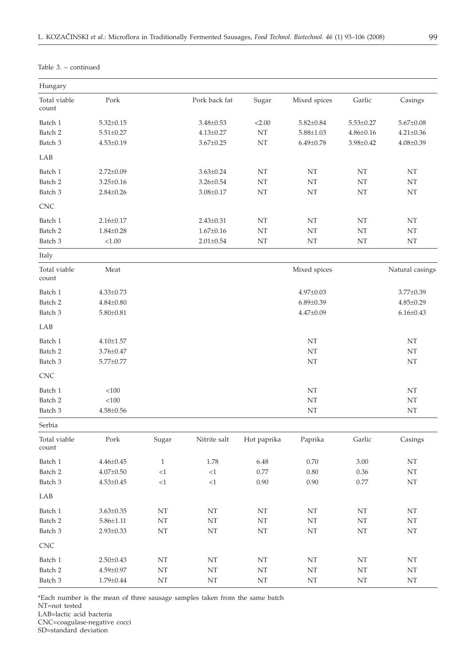| Pork back fat<br>Pork<br>Sugar<br>Mixed spices<br>Garlic<br>Casings<br>$5.32 \pm 0.15$<br>< 2.00<br>$5.82 \pm 0.84$<br>$5.53 \pm 0.27$<br>$5.67 \pm 0.08$<br>$3.48 \pm 0.53$<br>NT<br>$5.51 \pm 0.27$<br>$4.13 \pm 0.27$<br>$5.88{\pm}1.03$<br>$4.86 \pm 0.16$<br>$4.21 \pm 0.36$<br>NT<br>$3.67 \pm 0.25$<br>$6.49 \pm 0.78$<br>3.98±0.42<br>$4.08 \pm 0.39$<br>$4.53 \pm 0.19$<br>$2.72 \pm 0.09$<br>$3.63 \pm 0.24$<br>NT<br>NT<br>NT<br>NT<br>NT<br>$\rm{NT}$<br>NT<br>$3.25 \pm 0.16$<br>$3.26 \pm 0.54$<br>NT<br>NT<br>$\rm{NT}$<br>NT<br>$3.08 \pm 0.17$<br>NT<br>$2.84 \pm 0.26$<br>$2.43 \pm 0.31$<br>NT<br>NT<br>NT<br>NT<br>$2.16 \pm 0.17$<br>$1.67 \pm 0.16$<br>NT<br>$\rm{NT}$<br>NT<br>$1.84 \pm 0.28$<br>NT<br>< 1.00<br>$2.01 \pm 0.54$<br>NT<br>NT<br>NT<br>NΤ<br>Meat<br>Mixed spices<br>Natural casings<br>$4.33 \pm 0.73$<br>$4.97 \pm 0.03$<br>$3.77 \pm 0.39$<br>$6.89 \pm 0.39$<br>$4.85 \pm 0.29$<br>$4.84 \pm 0.80$<br>$4.47 \pm 0.09$<br>$6.16 \pm 0.43$<br>$5.80 \pm 0.81$<br>$4.10 \pm 1.57$<br>NT<br>NT<br>$3.76 \pm 0.47$<br>NT<br>NT<br>$\rm{NT}$<br>NT<br>$5.77 \pm 0.77$<br>< 100<br>NT<br>NT<br>< 100<br>NT<br>NT<br>$4.58 \pm 0.56$<br>NT<br>NT<br>Pork<br>Nitrite salt<br>Hot paprika<br>Garlic<br>Casings<br>Sugar<br>Paprika<br>$\,1\,$<br>$4.46 \pm 0.45$<br>1.78<br>6.48<br>0.70<br>3.00<br>NT<br>$<\!\!1$<br>${<}1\,$<br>$0.77\,$<br>$0.80\,$<br>0.36<br>$\mathop{\rm NT}\nolimits$<br>$4.07 \pm 0.50$<br>$0.90\,$<br>0.77<br>$\mathbf{N}\mathbf{T}$<br>$4.53 \pm 0.45$<br>${<}1\,$<br>${<}1\,$<br>0.90<br>$3.63 \pm 0.35$<br>NT<br>NT<br>NT<br>NT<br>$\rm{NT}$<br>NT<br>$5.86 \pm 1.11$<br>NT<br>NT<br>NT<br>NT<br>NT<br>NT<br>$2.93 \pm 0.33$<br>NT<br>NT<br>NT<br>NT<br>NT<br>NT<br>NT<br>NT<br>NT<br>NT<br>$\rm{NT}$<br>NT<br>$2.50 \pm 0.43$<br>$4.59 \pm 0.97$<br>NT<br>NT<br>NT<br>$\rm{NT}$<br>NT<br>$\mathop{\rm NT}\nolimits$<br>$\mathop{\rm NT}\nolimits$<br>$1.79{\pm}0.44$<br>NT<br>NT<br>NT<br>$\rm{NT}$<br>$\rm{NT}$ | Hungary               |  |  |  |  |
|--------------------------------------------------------------------------------------------------------------------------------------------------------------------------------------------------------------------------------------------------------------------------------------------------------------------------------------------------------------------------------------------------------------------------------------------------------------------------------------------------------------------------------------------------------------------------------------------------------------------------------------------------------------------------------------------------------------------------------------------------------------------------------------------------------------------------------------------------------------------------------------------------------------------------------------------------------------------------------------------------------------------------------------------------------------------------------------------------------------------------------------------------------------------------------------------------------------------------------------------------------------------------------------------------------------------------------------------------------------------------------------------------------------------------------------------------------------------------------------------------------------------------------------------------------------------------------------------------------------------------------------------------------------------------------------------------------------------------------------------------------------------------------------------------------------------------------------------------------------------------------------------------------------------------------------------------------------------------------|-----------------------|--|--|--|--|
|                                                                                                                                                                                                                                                                                                                                                                                                                                                                                                                                                                                                                                                                                                                                                                                                                                                                                                                                                                                                                                                                                                                                                                                                                                                                                                                                                                                                                                                                                                                                                                                                                                                                                                                                                                                                                                                                                                                                                                                | Total viable<br>count |  |  |  |  |
|                                                                                                                                                                                                                                                                                                                                                                                                                                                                                                                                                                                                                                                                                                                                                                                                                                                                                                                                                                                                                                                                                                                                                                                                                                                                                                                                                                                                                                                                                                                                                                                                                                                                                                                                                                                                                                                                                                                                                                                | Batch 1               |  |  |  |  |
|                                                                                                                                                                                                                                                                                                                                                                                                                                                                                                                                                                                                                                                                                                                                                                                                                                                                                                                                                                                                                                                                                                                                                                                                                                                                                                                                                                                                                                                                                                                                                                                                                                                                                                                                                                                                                                                                                                                                                                                | Batch 2               |  |  |  |  |
|                                                                                                                                                                                                                                                                                                                                                                                                                                                                                                                                                                                                                                                                                                                                                                                                                                                                                                                                                                                                                                                                                                                                                                                                                                                                                                                                                                                                                                                                                                                                                                                                                                                                                                                                                                                                                                                                                                                                                                                | Batch 3               |  |  |  |  |
|                                                                                                                                                                                                                                                                                                                                                                                                                                                                                                                                                                                                                                                                                                                                                                                                                                                                                                                                                                                                                                                                                                                                                                                                                                                                                                                                                                                                                                                                                                                                                                                                                                                                                                                                                                                                                                                                                                                                                                                | LAB                   |  |  |  |  |
|                                                                                                                                                                                                                                                                                                                                                                                                                                                                                                                                                                                                                                                                                                                                                                                                                                                                                                                                                                                                                                                                                                                                                                                                                                                                                                                                                                                                                                                                                                                                                                                                                                                                                                                                                                                                                                                                                                                                                                                | Batch 1               |  |  |  |  |
|                                                                                                                                                                                                                                                                                                                                                                                                                                                                                                                                                                                                                                                                                                                                                                                                                                                                                                                                                                                                                                                                                                                                                                                                                                                                                                                                                                                                                                                                                                                                                                                                                                                                                                                                                                                                                                                                                                                                                                                | Batch <sub>2</sub>    |  |  |  |  |
|                                                                                                                                                                                                                                                                                                                                                                                                                                                                                                                                                                                                                                                                                                                                                                                                                                                                                                                                                                                                                                                                                                                                                                                                                                                                                                                                                                                                                                                                                                                                                                                                                                                                                                                                                                                                                                                                                                                                                                                | Batch 3               |  |  |  |  |
|                                                                                                                                                                                                                                                                                                                                                                                                                                                                                                                                                                                                                                                                                                                                                                                                                                                                                                                                                                                                                                                                                                                                                                                                                                                                                                                                                                                                                                                                                                                                                                                                                                                                                                                                                                                                                                                                                                                                                                                | <b>CNC</b>            |  |  |  |  |
|                                                                                                                                                                                                                                                                                                                                                                                                                                                                                                                                                                                                                                                                                                                                                                                                                                                                                                                                                                                                                                                                                                                                                                                                                                                                                                                                                                                                                                                                                                                                                                                                                                                                                                                                                                                                                                                                                                                                                                                | Batch 1               |  |  |  |  |
|                                                                                                                                                                                                                                                                                                                                                                                                                                                                                                                                                                                                                                                                                                                                                                                                                                                                                                                                                                                                                                                                                                                                                                                                                                                                                                                                                                                                                                                                                                                                                                                                                                                                                                                                                                                                                                                                                                                                                                                | Batch <sub>2</sub>    |  |  |  |  |
|                                                                                                                                                                                                                                                                                                                                                                                                                                                                                                                                                                                                                                                                                                                                                                                                                                                                                                                                                                                                                                                                                                                                                                                                                                                                                                                                                                                                                                                                                                                                                                                                                                                                                                                                                                                                                                                                                                                                                                                | Batch 3               |  |  |  |  |
|                                                                                                                                                                                                                                                                                                                                                                                                                                                                                                                                                                                                                                                                                                                                                                                                                                                                                                                                                                                                                                                                                                                                                                                                                                                                                                                                                                                                                                                                                                                                                                                                                                                                                                                                                                                                                                                                                                                                                                                | Italy                 |  |  |  |  |
|                                                                                                                                                                                                                                                                                                                                                                                                                                                                                                                                                                                                                                                                                                                                                                                                                                                                                                                                                                                                                                                                                                                                                                                                                                                                                                                                                                                                                                                                                                                                                                                                                                                                                                                                                                                                                                                                                                                                                                                | Total viable<br>count |  |  |  |  |
|                                                                                                                                                                                                                                                                                                                                                                                                                                                                                                                                                                                                                                                                                                                                                                                                                                                                                                                                                                                                                                                                                                                                                                                                                                                                                                                                                                                                                                                                                                                                                                                                                                                                                                                                                                                                                                                                                                                                                                                | Batch 1               |  |  |  |  |
|                                                                                                                                                                                                                                                                                                                                                                                                                                                                                                                                                                                                                                                                                                                                                                                                                                                                                                                                                                                                                                                                                                                                                                                                                                                                                                                                                                                                                                                                                                                                                                                                                                                                                                                                                                                                                                                                                                                                                                                | Batch 2               |  |  |  |  |
|                                                                                                                                                                                                                                                                                                                                                                                                                                                                                                                                                                                                                                                                                                                                                                                                                                                                                                                                                                                                                                                                                                                                                                                                                                                                                                                                                                                                                                                                                                                                                                                                                                                                                                                                                                                                                                                                                                                                                                                | Batch 3               |  |  |  |  |
|                                                                                                                                                                                                                                                                                                                                                                                                                                                                                                                                                                                                                                                                                                                                                                                                                                                                                                                                                                                                                                                                                                                                                                                                                                                                                                                                                                                                                                                                                                                                                                                                                                                                                                                                                                                                                                                                                                                                                                                | LAB                   |  |  |  |  |
|                                                                                                                                                                                                                                                                                                                                                                                                                                                                                                                                                                                                                                                                                                                                                                                                                                                                                                                                                                                                                                                                                                                                                                                                                                                                                                                                                                                                                                                                                                                                                                                                                                                                                                                                                                                                                                                                                                                                                                                | Batch 1               |  |  |  |  |
|                                                                                                                                                                                                                                                                                                                                                                                                                                                                                                                                                                                                                                                                                                                                                                                                                                                                                                                                                                                                                                                                                                                                                                                                                                                                                                                                                                                                                                                                                                                                                                                                                                                                                                                                                                                                                                                                                                                                                                                | Batch 2               |  |  |  |  |
|                                                                                                                                                                                                                                                                                                                                                                                                                                                                                                                                                                                                                                                                                                                                                                                                                                                                                                                                                                                                                                                                                                                                                                                                                                                                                                                                                                                                                                                                                                                                                                                                                                                                                                                                                                                                                                                                                                                                                                                | Batch 3               |  |  |  |  |
|                                                                                                                                                                                                                                                                                                                                                                                                                                                                                                                                                                                                                                                                                                                                                                                                                                                                                                                                                                                                                                                                                                                                                                                                                                                                                                                                                                                                                                                                                                                                                                                                                                                                                                                                                                                                                                                                                                                                                                                | CNC                   |  |  |  |  |
|                                                                                                                                                                                                                                                                                                                                                                                                                                                                                                                                                                                                                                                                                                                                                                                                                                                                                                                                                                                                                                                                                                                                                                                                                                                                                                                                                                                                                                                                                                                                                                                                                                                                                                                                                                                                                                                                                                                                                                                | Batch 1               |  |  |  |  |
|                                                                                                                                                                                                                                                                                                                                                                                                                                                                                                                                                                                                                                                                                                                                                                                                                                                                                                                                                                                                                                                                                                                                                                                                                                                                                                                                                                                                                                                                                                                                                                                                                                                                                                                                                                                                                                                                                                                                                                                | Batch 2               |  |  |  |  |
|                                                                                                                                                                                                                                                                                                                                                                                                                                                                                                                                                                                                                                                                                                                                                                                                                                                                                                                                                                                                                                                                                                                                                                                                                                                                                                                                                                                                                                                                                                                                                                                                                                                                                                                                                                                                                                                                                                                                                                                | Batch 3               |  |  |  |  |
|                                                                                                                                                                                                                                                                                                                                                                                                                                                                                                                                                                                                                                                                                                                                                                                                                                                                                                                                                                                                                                                                                                                                                                                                                                                                                                                                                                                                                                                                                                                                                                                                                                                                                                                                                                                                                                                                                                                                                                                | Serbia                |  |  |  |  |
|                                                                                                                                                                                                                                                                                                                                                                                                                                                                                                                                                                                                                                                                                                                                                                                                                                                                                                                                                                                                                                                                                                                                                                                                                                                                                                                                                                                                                                                                                                                                                                                                                                                                                                                                                                                                                                                                                                                                                                                | Total viable<br>count |  |  |  |  |
|                                                                                                                                                                                                                                                                                                                                                                                                                                                                                                                                                                                                                                                                                                                                                                                                                                                                                                                                                                                                                                                                                                                                                                                                                                                                                                                                                                                                                                                                                                                                                                                                                                                                                                                                                                                                                                                                                                                                                                                | Batch 1               |  |  |  |  |
|                                                                                                                                                                                                                                                                                                                                                                                                                                                                                                                                                                                                                                                                                                                                                                                                                                                                                                                                                                                                                                                                                                                                                                                                                                                                                                                                                                                                                                                                                                                                                                                                                                                                                                                                                                                                                                                                                                                                                                                | Batch 2               |  |  |  |  |
|                                                                                                                                                                                                                                                                                                                                                                                                                                                                                                                                                                                                                                                                                                                                                                                                                                                                                                                                                                                                                                                                                                                                                                                                                                                                                                                                                                                                                                                                                                                                                                                                                                                                                                                                                                                                                                                                                                                                                                                | Batch 3               |  |  |  |  |
|                                                                                                                                                                                                                                                                                                                                                                                                                                                                                                                                                                                                                                                                                                                                                                                                                                                                                                                                                                                                                                                                                                                                                                                                                                                                                                                                                                                                                                                                                                                                                                                                                                                                                                                                                                                                                                                                                                                                                                                | LAB                   |  |  |  |  |
|                                                                                                                                                                                                                                                                                                                                                                                                                                                                                                                                                                                                                                                                                                                                                                                                                                                                                                                                                                                                                                                                                                                                                                                                                                                                                                                                                                                                                                                                                                                                                                                                                                                                                                                                                                                                                                                                                                                                                                                | Batch 1               |  |  |  |  |
|                                                                                                                                                                                                                                                                                                                                                                                                                                                                                                                                                                                                                                                                                                                                                                                                                                                                                                                                                                                                                                                                                                                                                                                                                                                                                                                                                                                                                                                                                                                                                                                                                                                                                                                                                                                                                                                                                                                                                                                | Batch 2               |  |  |  |  |
|                                                                                                                                                                                                                                                                                                                                                                                                                                                                                                                                                                                                                                                                                                                                                                                                                                                                                                                                                                                                                                                                                                                                                                                                                                                                                                                                                                                                                                                                                                                                                                                                                                                                                                                                                                                                                                                                                                                                                                                | Batch 3               |  |  |  |  |
|                                                                                                                                                                                                                                                                                                                                                                                                                                                                                                                                                                                                                                                                                                                                                                                                                                                                                                                                                                                                                                                                                                                                                                                                                                                                                                                                                                                                                                                                                                                                                                                                                                                                                                                                                                                                                                                                                                                                                                                | <b>CNC</b>            |  |  |  |  |
|                                                                                                                                                                                                                                                                                                                                                                                                                                                                                                                                                                                                                                                                                                                                                                                                                                                                                                                                                                                                                                                                                                                                                                                                                                                                                                                                                                                                                                                                                                                                                                                                                                                                                                                                                                                                                                                                                                                                                                                | Batch 1               |  |  |  |  |
|                                                                                                                                                                                                                                                                                                                                                                                                                                                                                                                                                                                                                                                                                                                                                                                                                                                                                                                                                                                                                                                                                                                                                                                                                                                                                                                                                                                                                                                                                                                                                                                                                                                                                                                                                                                                                                                                                                                                                                                | Batch 2               |  |  |  |  |
|                                                                                                                                                                                                                                                                                                                                                                                                                                                                                                                                                                                                                                                                                                                                                                                                                                                                                                                                                                                                                                                                                                                                                                                                                                                                                                                                                                                                                                                                                                                                                                                                                                                                                                                                                                                                                                                                                                                                                                                | Batch 3               |  |  |  |  |

Table 3. – continued

\*Each number is the mean of three sausage samples taken from the same batch

NT=not tested

LAB=lactic acid bacteria

CNC=coagulase-negative cocci

SD=standard deviation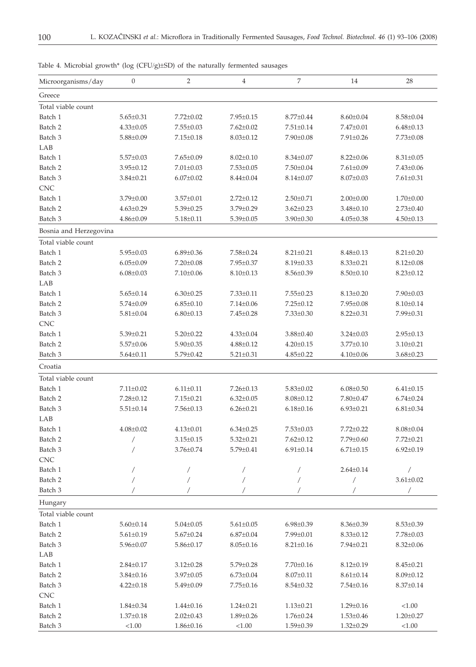| Microorganisms/day     | $\boldsymbol{0}$ | $\overline{2}$  | $\overline{4}$  | 7               | 14              | 28              |
|------------------------|------------------|-----------------|-----------------|-----------------|-----------------|-----------------|
| Greece                 |                  |                 |                 |                 |                 |                 |
| Total viable count     |                  |                 |                 |                 |                 |                 |
| Batch 1                | $5.65 \pm 0.31$  | $7.72 \pm 0.02$ | $7.95 \pm 0.15$ | $8.77 \pm 0.44$ | $8.60 \pm 0.04$ | $8.58 \pm 0.04$ |
| Batch 2                | $4.33 \pm 0.05$  | $7.55 \pm 0.03$ | $7.62 \pm 0.02$ | $7.51 \pm 0.14$ | $7.47 \pm 0.01$ | $6.48 \pm 0.13$ |
| Batch 3                | $5.88 \pm 0.09$  | $7.15 \pm 0.18$ | $8.03 \pm 0.12$ | $7.90 \pm 0.08$ | $7.91 \pm 0.26$ | $7.73 \pm 0.08$ |
| LAB                    |                  |                 |                 |                 |                 |                 |
| Batch 1                | $5.57 \pm 0.03$  | $7.65 \pm 0.09$ | $8.02 \pm 0.10$ | $8.34 \pm 0.07$ | $8.22 \pm 0.06$ | $8.31 \pm 0.05$ |
| Batch 2                | $3.95 \pm 0.12$  | $7.01 \pm 0.03$ | $7.53 \pm 0.05$ | $7.50 \pm 0.04$ | $7.61 \pm 0.09$ | 7.43±0.06       |
| Batch 3                | $3.84 \pm 0.21$  | $6.07 \pm 0.02$ | $8.44 \pm 0.04$ | $8.14 \pm 0.07$ | $8.07 \pm 0.03$ | $7.61 \pm 0.31$ |
| <b>CNC</b>             |                  |                 |                 |                 |                 |                 |
| Batch 1                | $3.79 \pm 0.00$  | $3.57 \pm 0.01$ | $2.72 \pm 0.12$ | $2.50 \pm 0.71$ | $2.00{\pm}0.00$ | $1.70 \pm 0.00$ |
| Batch 2                | $4.63 \pm 0.29$  | $5.39 \pm 0.25$ | 3.79±0.29       | $3.62 \pm 0.23$ | $3.48 \pm 0.10$ | $2.73 \pm 0.40$ |
| Batch 3                | $4.86 \pm 0.09$  | $5.18 \pm 0.11$ | $5.39 \pm 0.05$ | $3.90 \pm 0.30$ | $4.05 \pm 0.38$ | $4.50 \pm 0.13$ |
| Bosnia and Herzegovina |                  |                 |                 |                 |                 |                 |
| Total viable count     |                  |                 |                 |                 |                 |                 |
| Batch 1                | $5.95 \pm 0.03$  | $6.89{\pm}0.36$ | $7.58 \pm 0.24$ | $8.21 \pm 0.21$ | $8.48 \pm 0.13$ | $8.21 \pm 0.20$ |
| Batch <sub>2</sub>     | $6.05 \pm 0.09$  | $7.20 \pm 0.08$ | 7.95±0.37       | $8.19 \pm 0.33$ | $8.33 \pm 0.21$ | $8.12 \pm 0.08$ |
| Batch 3                | $6.08 \pm 0.03$  | $7.10 \pm 0.06$ | $8.10 \pm 0.13$ | $8.56 \pm 0.39$ | $8.50 \pm 0.10$ | $8.23 \pm 0.12$ |
| LAB                    |                  |                 |                 |                 |                 |                 |
| Batch 1                | $5.65 \pm 0.14$  | $6.30 \pm 0.25$ | $7.33 \pm 0.11$ | $7.55 \pm 0.23$ | $8.13 \pm 0.20$ | $7.90 \pm 0.03$ |
| Batch 2                | $5.74 \pm 0.09$  | $6.85 \pm 0.10$ | $7.14 \pm 0.06$ | $7.25 \pm 0.12$ | $7.95 \pm 0.08$ | $8.10 \pm 0.14$ |
| Batch 3                | $5.81 \pm 0.04$  | $6.80 \pm 0.13$ | $7.45 \pm 0.28$ | $7.33 \pm 0.30$ | $8.22 \pm 0.31$ | 7.99±0.31       |
| <b>CNC</b>             |                  |                 |                 |                 |                 |                 |
| Batch 1                | $5.39 \pm 0.21$  | $5.20 \pm 0.22$ | $4.33 \pm 0.04$ | $3.88 \pm 0.40$ | $3.24 \pm 0.03$ | $2.95 \pm 0.13$ |
| Batch 2                | $5.57 \pm 0.06$  | $5.90 \pm 0.35$ | $4.88 \pm 0.12$ | $4.20 \pm 0.15$ | $3.77 \pm 0.10$ | $3.10 \pm 0.21$ |
| Batch 3                | $5.64 \pm 0.11$  | 5.79±0.42       | $5.21 \pm 0.31$ | $4.85 \pm 0.22$ | $4.10 \pm 0.06$ | $3.68 \pm 0.23$ |
| Croatia                |                  |                 |                 |                 |                 |                 |
| Total viable count     |                  |                 |                 |                 |                 |                 |
| Batch 1                | $7.11 \pm 0.02$  | $6.11 \pm 0.11$ | $7.26 \pm 0.13$ | $5.83 \pm 0.02$ | $6.08 \pm 0.50$ | $6.41 \pm 0.15$ |
| Batch 2                | $7.28 \pm 0.12$  | $7.15 \pm 0.21$ | $6.32 \pm 0.05$ | $8.08 \pm 0.12$ | 7.80±0.47       | $6.74 \pm 0.24$ |
| Batch 3                | $5.51 \pm 0.14$  | $7.56 \pm 0.13$ | $6.26 \pm 0.21$ | $6.18 \pm 0.16$ | $6.93 \pm 0.21$ | $6.81 \pm 0.34$ |
| LAB                    |                  |                 |                 |                 |                 |                 |
| Batch 1                | $4.08 \pm 0.02$  | $4.13 \pm 0.01$ | $6.34 \pm 0.25$ | $7.53 \pm 0.03$ | $7.72 \pm 0.22$ | $8.08 \pm 0.04$ |
| Batch 2                |                  | $3.15 \pm 0.15$ | $5.32 \pm 0.21$ | $7.62 \pm 0.12$ | $7.79 \pm 0.60$ | $7.72 \pm 0.21$ |
| Batch 3                |                  | 3.76±0.74       | $5.79 \pm 0.41$ | $6.91 \pm 0.14$ | $6.71 \pm 0.15$ | $6.92 \pm 0.19$ |
| CNC                    |                  |                 |                 |                 |                 |                 |
| Batch 1                |                  |                 | Τ               |                 | $2.64 \pm 0.14$ |                 |
| Batch 2                |                  |                 |                 | $\overline{ }$  | Τ               | $3.61 \pm 0.02$ |
| Batch 3                |                  |                 |                 |                 |                 | $\sqrt{2}$      |
| Hungary                |                  |                 |                 |                 |                 |                 |
| Total viable count     |                  |                 |                 |                 |                 |                 |
| Batch 1                | $5.60 \pm 0.14$  | $5.04 \pm 0.05$ | $5.61 \pm 0.05$ | $6.98 \pm 0.39$ | $8.36 \pm 0.39$ | $8.53 \pm 0.39$ |
| Batch 2                | $5.61 \pm 0.19$  | $5.67 \pm 0.24$ | $6.87 \pm 0.04$ | 7.99±0.01       | $8.33 \pm 0.12$ | $7.78 \pm 0.03$ |
| Batch 3                | $5.96 \pm 0.07$  | $5.86 \pm 0.17$ | $8.05 \pm 0.16$ | $8.21 \pm 0.16$ | $7.94 \pm 0.21$ | $8.32 \pm 0.06$ |
| LAB                    |                  |                 |                 |                 |                 |                 |
| Batch 1                | $2.84 \pm 0.17$  | $3.12 \pm 0.28$ | 5.79±0.28       | 7.70±0.16       | $8.12 \pm 0.19$ | $8.45 \pm 0.21$ |
|                        |                  |                 |                 |                 |                 |                 |
| Batch 2                | $3.84 \pm 0.16$  | $3.97 \pm 0.05$ | $6.73 \pm 0.04$ | $8.07 \pm 0.11$ | $8.61 \pm 0.14$ | $8.09 \pm 0.12$ |
| Batch 3<br><b>CNC</b>  | $4.22 \pm 0.18$  | $5.49 \pm 0.09$ | $7.75 \pm 0.16$ | $8.54 \pm 0.32$ | $7.54 \pm 0.16$ | $8.37 \pm 0.14$ |
| Batch 1                |                  |                 |                 |                 |                 | < 1.00          |
|                        | $1.84 \pm 0.34$  | $1.44 \pm 0.16$ | $1.24 \pm 0.21$ | $1.13 \pm 0.21$ | $1.29 \pm 0.16$ |                 |
| Batch 2                | $1.37 \pm 0.18$  | $2.02 \pm 0.43$ | $1.89 \pm 0.26$ | $1.76 \pm 0.24$ | $1.53 \pm 0.46$ | $1.20 \pm 0.27$ |
| Batch 3                | < 1.00           | $1.86 \pm 0.16$ | < 1.00          | $1.59 \pm 0.39$ | $1.32 \pm 0.29$ | < 1.00          |

Table 4. Microbial growth\* (log (CFU/g)±SD) of the naturally fermented sausages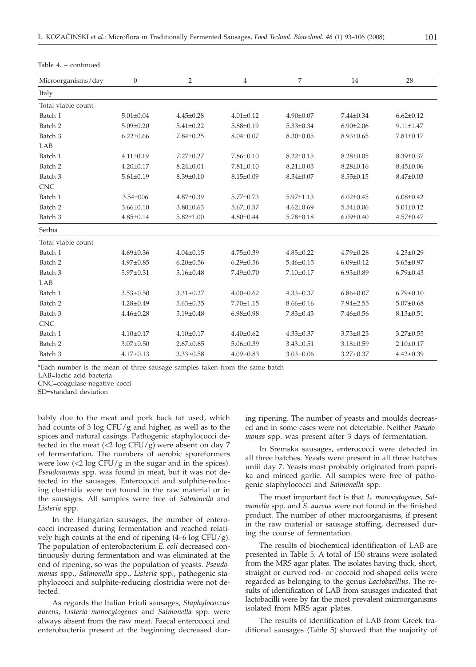| Microorganisms/day | $\boldsymbol{0}$ | $\overline{2}$  | 4               | 7               | 14              | 28              |
|--------------------|------------------|-----------------|-----------------|-----------------|-----------------|-----------------|
| Italy              |                  |                 |                 |                 |                 |                 |
| Total viable count |                  |                 |                 |                 |                 |                 |
| Batch 1            | $5.01 \pm 0.04$  | $4.45 \pm 0.28$ | $4.01 \pm 0.12$ | $4.90 \pm 0.07$ | $7.44 \pm 0.34$ | $6.62 \pm 0.12$ |
| Batch <sub>2</sub> | $5.09 \pm 0.20$  | $5.41 \pm 0.22$ | $5.88 \pm 0.19$ | $5.33 \pm 0.34$ | $6.90 \pm 2.06$ | $9.11 \pm 1.47$ |
| Batch 3            | $6.22 \pm 0.66$  | $7.84 \pm 0.25$ | $8.04 \pm 0.07$ | $8.30 \pm 0.05$ | $8.93 \pm 0.65$ | $7.81 \pm 0.17$ |
| LAB                |                  |                 |                 |                 |                 |                 |
| Batch 1            | $4.11 \pm 0.19$  | $7.27 \pm 0.27$ | $7.86 \pm 0.10$ | $8.22 \pm 0.15$ | $8.28 \pm 0.05$ | $8.39 \pm 0.37$ |
| Batch <sub>2</sub> | $4.20 \pm 0.17$  | $8.24 \pm 0.01$ | $7.81 \pm 0.10$ | $8.21 \pm 0.03$ | $8.28 \pm 0.16$ | $8.45 \pm 0.06$ |
| Batch 3            | $5.61 \pm 0.19$  | $8.39 \pm 0.10$ | $8.15 \pm 0.09$ | $8.34 \pm 0.07$ | $8.55 \pm 0.15$ | $8.47 \pm 0.03$ |
| <b>CNC</b>         |                  |                 |                 |                 |                 |                 |
| Batch 1            | $3.54 \pm 006$   | $4.87 \pm 0.39$ | $5.77 \pm 0.73$ | $5.97 \pm 1.13$ | $6.02 \pm 0.45$ | $6.08 \pm 0.42$ |
| Batch 2            | $3.66 \pm 0.10$  | $3.80 \pm 0.63$ | $5.67 \pm 0.57$ | $4.62 \pm 0.69$ | $5.54 \pm 0.06$ | $5.01 \pm 0.12$ |
| Batch 3            | $4.85 \pm 0.14$  | $5.82 \pm 1.00$ | $4.80 \pm 0.44$ | $5.78 \pm 0.18$ | $6.09 \pm 0.40$ | $4.57 \pm 0.47$ |
| Serbia             |                  |                 |                 |                 |                 |                 |
| Total viable count |                  |                 |                 |                 |                 |                 |
| Batch 1            | $4.69 \pm 0.36$  | $4.04 \pm 0.15$ | $4.75 \pm 0.39$ | $4.85 \pm 0.22$ | $4.79 \pm 0.28$ | $4.23 \pm 0.29$ |
| Batch <sub>2</sub> | $4.97 \pm 0.85$  | $6.20 \pm 0.56$ | $6.29 \pm 0.56$ | $5.46 \pm 0.15$ | $6.09 \pm 0.12$ | $5.65 \pm 0.97$ |
| Batch 3            | $5.97 \pm 0.31$  | $5.16 \pm 0.48$ | $7.49 \pm 0.70$ | $7.10 \pm 0.17$ | $6.93 \pm 0.89$ | $6.79 \pm 0.43$ |
| LAB                |                  |                 |                 |                 |                 |                 |
| Batch 1            | $3.53 \pm 0.50$  | $3.31 \pm 0.27$ | $4.00 \pm 0.62$ | $4.33 \pm 0.37$ | $6.86 \pm 0.07$ | $6.79 \pm 0.10$ |
| Batch 2            | $4.28 \pm 0.49$  | $5.63 \pm 0.35$ | $7.70 \pm 1.15$ | $8.66 \pm 0.16$ | $7.94 \pm 2.55$ | $5.07 \pm 0.68$ |
| Batch 3            | $4.46 \pm 0.28$  | $5.19 \pm 0.48$ | $6.98 \pm 0.98$ | $7.83 \pm 0.43$ | $7.46 \pm 0.56$ | $8.13 \pm 0.51$ |
| <b>CNC</b>         |                  |                 |                 |                 |                 |                 |
| Batch 1            | $4.10 \pm 0.17$  | $4.10 \pm 0.17$ | $4.40 \pm 0.62$ | $4.33 \pm 0.37$ | $3.73 \pm 0.23$ | $3.27 \pm 0.55$ |
| Batch 2            | $3.07 \pm 0.50$  | $2.67 \pm 0.65$ | $5.06 \pm 0.39$ | $3.43 \pm 0.51$ | $3.18 \pm 0.59$ | $2.10 \pm 0.17$ |
| Batch 3            | $4.17 \pm 0.13$  | $3.33 \pm 0.58$ | $4.09 \pm 0.83$ | $3.03 \pm 0.06$ | $3.27 \pm 0.37$ | $4.42 \pm 0.39$ |

Table 4. – continued

\*Each number is the mean of three sausage samples taken from the same batch

LAB=lactic acid bacteria

CNC=coagulase-negative cocci

SD=standard deviation

bably due to the meat and pork back fat used, which had counts of 3 log CFU/g and higher, as well as to the spices and natural casings. Pathogenic staphylococci detected in the meat  $\left($ <2 log CFU/g) were absent on day 7 of fermentation. The numbers of aerobic sporeformers were low  $\left($  <2 log CFU/g in the sugar and in the spices). *Pseudomonas* spp. was found in meat, but it was not detected in the sausages. Enterococci and sulphite-reducing clostridia were not found in the raw material or in the sausages. All samples were free of *Salmonella* and *Listeria* spp.

In the Hungarian sausages, the number of enterococci increased during fermentation and reached relatively high counts at the end of ripening  $(4-6 \log CFU/g)$ . The population of enterobacterium *E. coli* decreased continuously during fermentation and was eliminated at the end of ripening, so was the population of yeasts. *Pseudomonas* spp., *Salmonella* spp., *Listeria* spp., pathogenic staphylococci and sulphite-reducing clostridia were not detected.

As regards the Italian Friuli sausages, *Staphylococcus aureus, Listeria monocytogenes* and *Salmonella* spp. were always absent from the raw meat. Faecal enterococci and enterobacteria present at the beginning decreased during ripening. The number of yeasts and moulds decreased and in some cases were not detectable. Neither *Pseudomonas* spp. was present after 3 days of fermentation.

In Sremska sausages, enterococci were detected in all three batches. Yeasts were present in all three batches until day 7. Yeasts most probably originated from paprika and minced garlic. All samples were free of pathogenic staphylococci and *Salmonella* spp*.*

The most important fact is that *L. monocytogenes, Salmonella* spp. and *S. aureus* were not found in the finished product. The number of other microorganisms, if present in the raw material or sausage stuffing, decreased during the course of fermentation.

The results of biochemical identification of LAB are presented in Table 5. A total of 150 strains were isolated from the MRS agar plates. The isolates having thick, short, straight or curved rod- or coccoid rod-shaped cells were regarded as belonging to the genus *Lactobacillus*. The results of identification of LAB from sausages indicated that lactobacilli were by far the most prevalent microorganisms isolated from MRS agar plates.

The results of identification of LAB from Greek traditional sausages (Table 5) showed that the majority of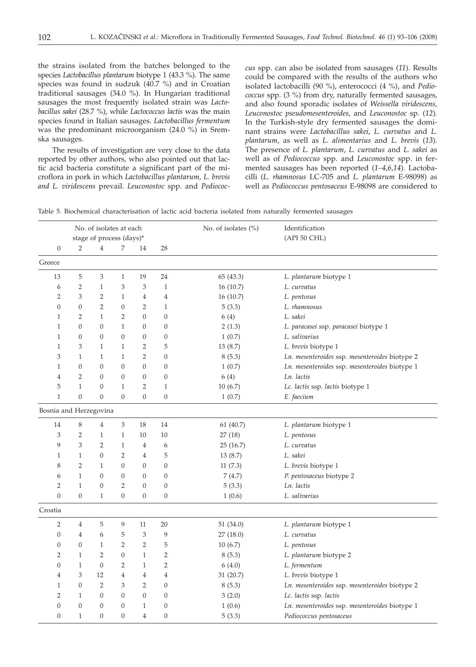the strains isolated from the batches belonged to the species *Lactobacillus plantarum* biotype 1 (43.3 %). The same species was found in sudzuk (40.7 %) and in Croatian traditional sausages (34.0 %). In Hungarian traditional sausages the most frequently isolated strain was *Lactobacillus sakei* (28.7 %), while *Lactococcus lactis* was the main species found in Italian sausages. *Lactobacillus fermentum* was the predominant microorganism (24.0 %) in Sremska sausages.

The results of investigation are very close to the data reported by other authors, who also pointed out that lactic acid bacteria constitute a significant part of the microflora in pork in which *Lactobacillus plantarum, L. brevis and L. viridescens* prevail. *Leuconostoc* spp. and *Pediococ-* *cus* spp. can also be isolated from sausages (*11*). Results could be compared with the results of the authors who isolated lactobacilli (90 %), enterococci (4 %), and *Pediococcus* spp. (3 %) from dry, naturally fermented sausages, and also found sporadic isolates of *Weissella viridescens, Leuconostoc pseudomesenteroides,* and *Leuconostoc* sp. (*12*). In the Turkish-style dry fermented sausages the dominant strains were *Lactobacillus sakei*, *L. curvatus* and *L. plantarum*, as well as *L. alimentarius* and *L. brevis* (*13*). The presence of *L. plantarum*, *L. curvatus* and *L. sakei* as well as of *Pediococcus* spp. and *Leuconostoc* spp. in fermented sausages has been reported (*1–4,6,14*). Lactobacilli (*L. rhamnosus* LC-705 and *L. plantarum* E-98098) as well as *Pediococcus pentosaceus* E-98098 are considered to

| Table 5. Biochemical characterisation of lactic acid bacteria isolated from naturally fermented sausages |  |  |  |  |  |  |  |  |  |
|----------------------------------------------------------------------------------------------------------|--|--|--|--|--|--|--|--|--|
|----------------------------------------------------------------------------------------------------------|--|--|--|--|--|--|--|--|--|

| No. of isolates at each |                  |                          |                  |                  |                  | No. of isolates (%) | Identification                                 |  |  |
|-------------------------|------------------|--------------------------|------------------|------------------|------------------|---------------------|------------------------------------------------|--|--|
|                         |                  | stage of process (days)* |                  |                  |                  |                     | (API 50 CHL)                                   |  |  |
| $\boldsymbol{0}$        | $\overline{2}$   | 4                        | 7                | 14               | 28               |                     |                                                |  |  |
| Greece                  |                  |                          |                  |                  |                  |                     |                                                |  |  |
| 13                      | 5                | 3                        | $\mathbf{1}$     | 19               | 24               | 65 (43.3)           | L. plantarum biotype 1                         |  |  |
| 6                       | $\overline{2}$   | $\mathbf{1}$             | 3                | 3                | $\mathbf{1}$     | 16(10.7)            | L. curvatus                                    |  |  |
| $\overline{2}$          | 3                | $\overline{2}$           | $\mathbf{1}$     | $\overline{4}$   | $\overline{4}$   | 16(10.7)            | L. pentosus                                    |  |  |
| $\boldsymbol{0}$        | $\overline{0}$   | $\overline{2}$           | $\overline{0}$   | $\overline{2}$   | $\mathbf{1}$     | 5(3.3)              | L. rhamnosus                                   |  |  |
| $\mathbf{1}$            | 2                | $\mathbf{1}$             | 2                | $\overline{0}$   | 0                | 6(4)                | L. sakei                                       |  |  |
| $\mathbf{1}$            | $\overline{0}$   | $\overline{0}$           | $\mathbf{1}$     | $\overline{0}$   | 0                | 2(1.3)              | L. paracasei ssp. paracasei biotype 1          |  |  |
| $\mathbf{1}$            | 0                | $\overline{0}$           | $\overline{0}$   | 0                | 0                | 1(0.7)              | L. salivarius                                  |  |  |
| $\mathbf{1}$            | 3                | $\mathbf{1}$             | $\mathbf{1}$     | 2                | 5                | 13(8.7)             | L. brevis biotype 1                            |  |  |
| 3                       | $\mathbf{1}$     | $\mathbf{1}$             | $\mathbf{1}$     | $\overline{2}$   | $\boldsymbol{0}$ | 8(5.3)              | Ln. mesenteroides ssp. mesenteroides biotype 2 |  |  |
| $\mathbf{1}$            | $\boldsymbol{0}$ | $\overline{0}$           | $\overline{0}$   | $\boldsymbol{0}$ | 0                | 1(0.7)              | Ln. mesenteroides ssp. mesenteroides biotype 1 |  |  |
| $\overline{4}$          | $\overline{2}$   | 0                        | $\boldsymbol{0}$ | $\boldsymbol{0}$ | $\boldsymbol{0}$ | 6(4)                | Ln. lactis                                     |  |  |
| 5                       | $\mathbf{1}$     | 0                        | $\mathbf{1}$     | $\overline{2}$   | $\mathbf{1}$     | 10(6.7)             | Lc. lactis ssp. lactis biotype 1               |  |  |
| $\mathbf{1}$            | $\boldsymbol{0}$ | $\boldsymbol{0}$         | $\boldsymbol{0}$ | $\boldsymbol{0}$ | $\boldsymbol{0}$ | 1(0.7)              | E. faecium                                     |  |  |
| Bosnia and Herzegovina  |                  |                          |                  |                  |                  |                     |                                                |  |  |
| 14                      | 8                | 4                        | 3                | 18               | 14               | 61(40.7)            | L. plantarum biotype 1                         |  |  |
| 3                       | 2                | 1                        | $\mathbf{1}$     | 10               | 10               | 27(18)              | L. pentosus                                    |  |  |
| 9                       | 3                | 2                        | $\mathbf{1}$     | 4                | 6                | 25(16.7)            | L. curvatus                                    |  |  |
| 1                       | 1                | 0                        | 2                | 4                | 5                | 13(8.7)             | L. sakei                                       |  |  |
| 8                       | 2                | $\mathbf{1}$             | 0                | $\boldsymbol{0}$ | 0                | 11(7.3)             | L. brevis biotype 1                            |  |  |
| 6                       | $\mathbf{1}$     | 0                        | 0                | 0                | 0                | 7(4.7)              | P. pentosaceus biotype 2                       |  |  |
| $\overline{2}$          | $\mathbf{1}$     | 0                        | 2                | $\boldsymbol{0}$ | $\boldsymbol{0}$ | 5(3.3)              | Ln. lactis                                     |  |  |
| $\boldsymbol{0}$        | $\boldsymbol{0}$ | $\mathbf{1}$             | $\boldsymbol{0}$ | $\boldsymbol{0}$ | $\boldsymbol{0}$ | 1(0.6)              | L. salivarius                                  |  |  |
| Croatia                 |                  |                          |                  |                  |                  |                     |                                                |  |  |
| $\overline{2}$          | 4                | 5                        | 9                | 11               | 20               | 51(34.0)            | L. plantarum biotype 1                         |  |  |
| $\boldsymbol{0}$        | $\overline{4}$   | 6                        | 5                | 3                | 9                | 27 (18.0)           | L. curvatus                                    |  |  |
| $\boldsymbol{0}$        | $\overline{0}$   | $\mathbf{1}$             | $\overline{2}$   | $\overline{2}$   | 5                | 10(6.7)             | L. pentosus                                    |  |  |
| $\overline{2}$          | $\mathbf{1}$     | $\overline{2}$           | $\overline{0}$   | $\mathbf{1}$     | $\overline{2}$   | 8(5.3)              | L. plantarum biotype 2                         |  |  |
| $\boldsymbol{0}$        | $\mathbf{1}$     | $\boldsymbol{0}$         | $\overline{2}$   | $\mathbf{1}$     | $\overline{2}$   | 6(4.0)              | L. fermentum                                   |  |  |
| $\overline{4}$          | 3                | 12                       | 4                | 4                | 4                | 31 (20.7)           | L. brevis biotype 1                            |  |  |
| $\mathbf{1}$            | $\boldsymbol{0}$ | 2                        | 3                | $\overline{2}$   | $\boldsymbol{0}$ | 8(5.3)              | Ln. mesenteroides ssp. mesenteroides biotype 2 |  |  |
| $\overline{2}$          | $\mathbf{1}$     | $\overline{0}$           | $\overline{0}$   | $\overline{0}$   | $\boldsymbol{0}$ | 3(2.0)              | Lc. lactis ssp. lactis                         |  |  |
| $\boldsymbol{0}$        | $\boldsymbol{0}$ | 0                        | 0                | $\mathbf{1}$     | $\boldsymbol{0}$ | 1(0.6)              | Ln. mesenteroides ssp. mesenteroides biotype 1 |  |  |
| $\overline{0}$          | $\mathbf{1}$     | $\overline{0}$           | $\overline{0}$   | 4                | $\boldsymbol{0}$ | 5(3.3)              | Pediococcus pentosaceus                        |  |  |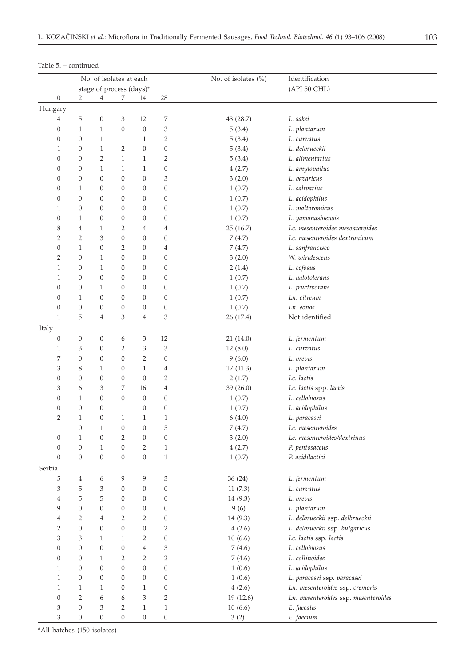|                  | No. of isolates at each |                          | No. of isolates (%) | Identification   |                  |           |                                      |
|------------------|-------------------------|--------------------------|---------------------|------------------|------------------|-----------|--------------------------------------|
|                  |                         | stage of process (days)* |                     |                  |                  |           | (API 50 CHL)                         |
| $\boldsymbol{0}$ | $\overline{2}$          | 4                        | 7                   | 14               | 28               |           |                                      |
| Hungary          |                         |                          |                     |                  |                  |           |                                      |
| 4                | $\mathbf 5$             | $\boldsymbol{0}$         | 3                   | 12               | $\boldsymbol{7}$ | 43 (28.7) | L. sakei                             |
| $\boldsymbol{0}$ | $\mathbf{1}$            | $\mathbf{1}$             | $\boldsymbol{0}$    | $\boldsymbol{0}$ | 3                | 5(3.4)    | L. plantarum                         |
| $\boldsymbol{0}$ | $\boldsymbol{0}$        | $\mathbf{1}$             | $\mathbf{1}$        | $\mathbf{1}$     | $\overline{2}$   | 5(3.4)    | L. curvatus                          |
| $\mathbf{1}$     | $\boldsymbol{0}$        | $\mathbf{1}$             | $\overline{2}$      | $\boldsymbol{0}$ | $\boldsymbol{0}$ | 5(3.4)    | L. delbrueckii                       |
| $\boldsymbol{0}$ | $\boldsymbol{0}$        | 2                        | $\mathbf{1}$        | $\mathbf{1}$     | $\overline{2}$   | 5(3.4)    | L. alimentarius                      |
| $\boldsymbol{0}$ | $\boldsymbol{0}$        | $\mathbf{1}$             | $\mathbf{1}$        | $\mathbf{1}$     | $\boldsymbol{0}$ | 4(2.7)    | L. amylophilus                       |
| $\boldsymbol{0}$ | $\boldsymbol{0}$        | $\mathbf{0}$             | $\mathbf{0}$        | $\boldsymbol{0}$ | 3                | 3(2.0)    | L. bavaricus                         |
| $\boldsymbol{0}$ | $\mathbf{1}$            | $\boldsymbol{0}$         | $\mathbf{0}$        | $\boldsymbol{0}$ | $\boldsymbol{0}$ | 1(0.7)    | L. salivarius                        |
| $\boldsymbol{0}$ | $\boldsymbol{0}$        | $\mathbf{0}$             | $\mathbf{0}$        | $\boldsymbol{0}$ | $\boldsymbol{0}$ | 1(0.7)    | L. acidophilus                       |
| $\mathbf{1}$     | $\boldsymbol{0}$        | 0                        | $\mathbf{0}$        | $\boldsymbol{0}$ | $\boldsymbol{0}$ | 1(0.7)    | L. maltoromicus                      |
| $\boldsymbol{0}$ | $\mathbf{1}$            | 0                        | $\mathbf{0}$        | $\boldsymbol{0}$ | $\boldsymbol{0}$ | 1(0.7)    | L. yamanashiensis                    |
| 8                | $\overline{4}$          | 1                        | 2                   | 4                | $\overline{4}$   | 25(16.7)  | Lc. mesenteroides mesenteroides      |
| 2                | $\overline{2}$          | 3                        | $\boldsymbol{0}$    | 0                | $\boldsymbol{0}$ | 7(4.7)    | Lc. mesenteroides dextranicum        |
| $\boldsymbol{0}$ | $\mathbf{1}$            | 0                        | 2                   | $\boldsymbol{0}$ | 4                | 7(4.7)    | L. sanfrancisco                      |
| 2                | $\boldsymbol{0}$        | $\mathbf{1}$             | $\boldsymbol{0}$    | $\boldsymbol{0}$ | $\boldsymbol{0}$ | 3(2.0)    | W. wiridescens                       |
| $\mathbf{1}$     | $\boldsymbol{0}$        | $\mathbf{1}$             | $\boldsymbol{0}$    | $\boldsymbol{0}$ | $\boldsymbol{0}$ | 2(1.4)    | L. cofosus                           |
| $\mathbf{1}$     | $\boldsymbol{0}$        | $\boldsymbol{0}$         | $\boldsymbol{0}$    | $\boldsymbol{0}$ | $\boldsymbol{0}$ | 1(0.7)    | L. halotolerans                      |
| $\boldsymbol{0}$ | $\boldsymbol{0}$        | $\mathbf{1}$             | $\boldsymbol{0}$    | $\boldsymbol{0}$ | $\boldsymbol{0}$ | 1(0.7)    | L. fructivorans                      |
| $\boldsymbol{0}$ | $\mathbf{1}$            | $\mathbf{0}$             | $\mathbf{0}$        | $\boldsymbol{0}$ | $\boldsymbol{0}$ | 1(0.7)    | Ln. citreum                          |
| $\boldsymbol{0}$ | $\boldsymbol{0}$        | $\mathbf{0}$             | $\mathbf{0}$        | 0                | $\boldsymbol{0}$ | 1(0.7)    | Ln. eonos                            |
| $\mathbf{1}$     | 5                       | 4                        | 3                   | 4                | 3                | 26 (17.4) | Not identified                       |
| Italy            |                         |                          |                     |                  |                  |           |                                      |
| $\boldsymbol{0}$ | $\boldsymbol{0}$        | $\boldsymbol{0}$         | 6                   | 3                | 12               | 21(14.0)  | L. fermentum                         |
| $\mathbf{1}$     | 3                       | $\boldsymbol{0}$         | 2                   | 3                | 3                | 12(8.0)   | L. curvatus                          |
| 7                | $\boldsymbol{0}$        | $\boldsymbol{0}$         | $\boldsymbol{0}$    | $\overline{2}$   | $\boldsymbol{0}$ | 9(6.0)    | L. brevis                            |
| 3                | 8                       | $\mathbf{1}$             | $\boldsymbol{0}$    | $\mathbf{1}$     | 4                | 17(11.3)  | L. plantarum                         |
| $\boldsymbol{0}$ | $\boldsymbol{0}$        | $\mathbf{0}$             | $\boldsymbol{0}$    | $\theta$         | 2                | 2(1.7)    | Lc. lactis                           |
| 3                | 6                       | 3                        | 7                   | 16               | $\overline{4}$   | 39 (26.0) | Lc. lactis spp. lactis               |
| $\boldsymbol{0}$ | $\mathbf{1}$            | $\mathbf{0}$             | $\boldsymbol{0}$    | $\boldsymbol{0}$ | $\boldsymbol{0}$ | 1(0.7)    | L. cellobiosus                       |
| $\boldsymbol{0}$ | $\boldsymbol{0}$        | $\mathbf{0}$             | $\mathbf{1}$        | $\boldsymbol{0}$ | $\boldsymbol{0}$ | 1(0.7)    | L. acidophilus                       |
| 2                | $\mathbf{1}$            | $\boldsymbol{0}$         | $\mathbf{1}$        | $\mathbf{1}$     | $\mathbf{1}$     | 6(4.0)    | L. paracasei                         |
| $\mathbf{1}$     | $\boldsymbol{0}$        | $\mathbf{1}$             | $\boldsymbol{0}$    | $\boldsymbol{0}$ | 5                | 7(4.7)    | Lc. mesenteroides                    |
| $\boldsymbol{0}$ | $\mathbf{1}$            | $\boldsymbol{0}$         | $\overline{2}$      | $\boldsymbol{0}$ | $\boldsymbol{0}$ | 3(2.0)    | Lc. mesenteroides/dextrinus          |
| $\theta$         | $\boldsymbol{0}$        | $\mathbf{1}$             | $\theta$            | $\overline{2}$   | $\mathbf{1}$     | 4(2.7)    | P. pentosaceus                       |
| $\boldsymbol{0}$ | $\boldsymbol{0}$        | $\boldsymbol{0}$         | $\boldsymbol{0}$    | $\boldsymbol{0}$ | $\mathbf{1}$     | 1(0.7)    | P. acidilactici                      |
| Serbia           |                         |                          |                     |                  |                  |           |                                      |
| 5                | $\,4$                   | 6                        | 9                   | 9                | 3                | 36(24)    | L. fermentum                         |
| 3                | 5                       | 3                        | $\boldsymbol{0}$    | 0                | $\boldsymbol{0}$ | 11(7.3)   | L. curvatus                          |
| 4                | 5                       | 5                        | $\mathbf{0}$        | 0                | $\boldsymbol{0}$ | 14(9.3)   | L. brevis                            |
| 9                | $\boldsymbol{0}$        | 0                        | $\boldsymbol{0}$    | 0                | $\boldsymbol{0}$ | 9(6)      | L. plantarum                         |
| 4                | $\overline{2}$          | $\overline{4}$           | $\overline{2}$      | 2                | $\boldsymbol{0}$ | 14 (9.3)  | L. delbrueckii ssp. delbrueckii      |
| 2                | $\boldsymbol{0}$        | $\boldsymbol{0}$         | $\boldsymbol{0}$    | $\boldsymbol{0}$ | $\overline{2}$   | 4(2.6)    | L. delbrueckii ssp. bulgaricus       |
| 3                | 3                       | $\mathbf{1}$             | $\mathbf{1}$        | 2                | $\boldsymbol{0}$ | 10(6.6)   | Lc. lactis ssp. lactis               |
| $\boldsymbol{0}$ | $\boldsymbol{0}$        | $\boldsymbol{0}$         | $\boldsymbol{0}$    | $\overline{4}$   | 3                | 7(4.6)    | L. cellobiosus                       |
| $\boldsymbol{0}$ | $\boldsymbol{0}$        | $\mathbf{1}$             | $\overline{2}$      | 2                | $\overline{2}$   | 7(4.6)    | L. collinoides                       |
| $\mathbf{1}$     | $\boldsymbol{0}$        | $\boldsymbol{0}$         | $\boldsymbol{0}$    | $\boldsymbol{0}$ | $\boldsymbol{0}$ | 1(0.6)    | L. acidophilus                       |
| $\mathbf{1}$     | $\boldsymbol{0}$        | $\boldsymbol{0}$         | $\boldsymbol{0}$    | $\boldsymbol{0}$ | $\boldsymbol{0}$ | 1(0.6)    | L. paracasei ssp. paracasei          |
| $\mathbf{1}$     | $\mathbf{1}$            | $\mathbf{1}$             | $\boldsymbol{0}$    | $\mathbf{1}$     | $\boldsymbol{0}$ | 4(2.6)    | Ln. mesenteroides ssp. cremoris      |
| $\boldsymbol{0}$ | $\overline{2}$          | 6                        | $\boldsymbol{6}$    | 3                | 2                | 19 (12.6) | Ln. mesenteroides ssp. mesenteroides |

10 (6.6) 3 (2)

*E. faecalis E. faecium*

# Table 5. – continued

\*All batches (150 isolates)

303211 300000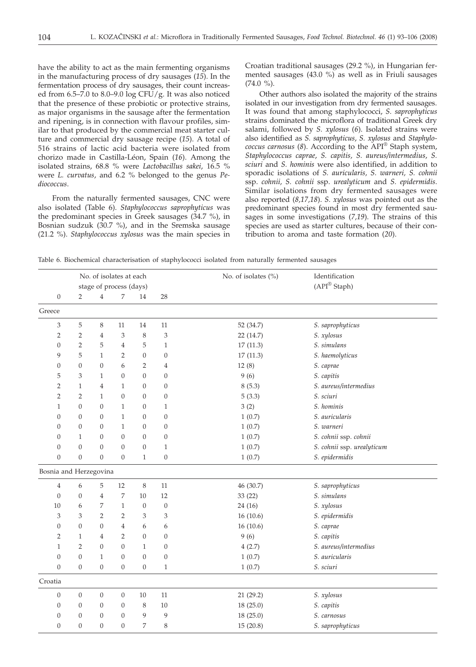have the ability to act as the main fermenting organisms in the manufacturing process of dry sausages (*15*). In the fermentation process of dry sausages, their count increased from 6.5–7.0 to 8.0–9.0 log CFU/g. It was also noticed that the presence of these probiotic or protective strains, as major organisms in the sausage after the fermentation and ripening, is in connection with flavour profiles, similar to that produced by the commercial meat starter culture and commercial dry sausage recipe (*15*). A total of 516 strains of lactic acid bacteria were isolated from chorizo made in Castilla-Léon, Spain (*16*). Among the isolated strains, 68.8 % were *Lactobacillus sakei*, 16.5 % were *L. curvatus*, and 6.2 % belonged to the genus *Pediococcus*.

From the naturally fermented sausages, CNC were also isolated (Table 6). *Staphylococcus saprophyticus* was the predominant species in Greek sausages (34.7 %), in Bosnian sudzuk (30.7 %), and in the Sremska sausage (21.2 %). *Staphylococcus xylosus* was the main species in Croatian traditional sausages (29.2 %), in Hungarian fermented sausages  $(43.0\%)$  as well as in Friuli sausages  $(74.0 \%)$ .

Other authors also isolated the majority of the strains isolated in our investigation from dry fermented sausages. It was found that among staphylococci, *S. saprophyticus* strains dominated the microflora of traditional Greek dry salami, followed by *S. xylosus* (*6*). Isolated strains were also identified as *S. saprophyticus*, *S. xylosus* and *Staphylococcus carnosus* (*8*). According to the API® Staph system, *Staphylococcus caprae*, *S. capitis, S. aureus/intermedius*, *S. sciuri* and *S. hominis* were also identified, in addition to sporadic isolations of *S. auricularis, S. warneri, S. cohnii* ssp. *cohnii, S. cohnii* ssp. *urealyticum* and *S. epidermidis*. Similar isolations from dry fermented sausages were also reported (*8,17,18*). *S. xylosus* was pointed out as the predominant species found in most dry fermented sausages in some investigations (*7,19*). The strains of this species are used as starter cultures, because of their contribution to aroma and taste formation (*20*).

Table 6. Biochemical characterisation of staphylococci isolated from naturally fermented sausages

|                        | No. of isolates at each |                  |                         | No. of isolates (%) | Identification   |           |                            |
|------------------------|-------------------------|------------------|-------------------------|---------------------|------------------|-----------|----------------------------|
|                        |                         |                  | stage of process (days) |                     |                  |           | $(API^{\circledR}$ Staph)  |
| $\boldsymbol{0}$       | $\overline{2}$          | $\overline{4}$   | 7                       | 14                  | 28               |           |                            |
| Greece                 |                         |                  |                         |                     |                  |           |                            |
| 3                      | 5                       | $\,8\,$          | 11                      | 14                  | 11               | 52 (34.7) | S. saprophyticus           |
| $\overline{2}$         | $\overline{2}$          | $\overline{4}$   | 3                       | $\,8\,$             | 3                | 22 (14.7) | S. xylosus                 |
| $\mathbf{0}$           | $\overline{2}$          | 5                | $\overline{4}$          | 5                   | $\mathbf{1}$     | 17(11.3)  | S. simulans                |
| 9                      | 5                       | $\mathbf{1}$     | $\overline{2}$          | $\boldsymbol{0}$    | $\boldsymbol{0}$ | 17(11.3)  | S. haemolyticus            |
| $\boldsymbol{0}$       | $\boldsymbol{0}$        | $\boldsymbol{0}$ | 6                       | $\overline{2}$      | $\overline{4}$   | 12(8)     | S. caprae                  |
| 5                      | 3                       | $\mathbf{1}$     | $\overline{0}$          | $\overline{0}$      | $\boldsymbol{0}$ | 9(6)      | S. capitis                 |
| $\overline{2}$         | $\mathbf{1}$            | $\overline{4}$   | $\mathbf{1}$            | $\overline{0}$      | $\boldsymbol{0}$ | 8(5.3)    | S. aureus/intermedius      |
| $\overline{2}$         | $\overline{2}$          | $\mathbf{1}$     | $\overline{0}$          | $\overline{0}$      | $\boldsymbol{0}$ | 5(3.3)    | S. sciuri                  |
| $\mathbf{1}$           | $\overline{0}$          | $\overline{0}$   | $\mathbf{1}$            | $\mathbf{0}$        | $\mathbf{1}$     | 3(2)      | S. hominis                 |
| $\theta$               | $\theta$                | $\theta$         | $\mathbf{1}$            | $\overline{0}$      | $\overline{0}$   | 1(0.7)    | S. auricularis             |
| $\theta$               | $\theta$                | $\theta$         | $\mathbf{1}$            | $\overline{0}$      | $\theta$         | 1(0.7)    | S. warneri                 |
| $\overline{0}$         | $\mathbf{1}$            | $\overline{0}$   | $\overline{0}$          | $\overline{0}$      | $\boldsymbol{0}$ | 1(0.7)    | S. cohnii ssp. cohnii      |
| $\overline{0}$         | $\overline{0}$          | $\overline{0}$   | $\overline{0}$          | $\boldsymbol{0}$    | $\mathbf{1}$     | 1(0.7)    | S. cohnii ssp. urealyticum |
| $\boldsymbol{0}$       | $\boldsymbol{0}$        | $\boldsymbol{0}$ | $\boldsymbol{0}$        | $\mathbf{1}$        | $\boldsymbol{0}$ | 1(0.7)    | S. epidermidis             |
| Bosnia and Herzegovina |                         |                  |                         |                     |                  |           |                            |
| $\overline{4}$         | 6                       | 5                | 12                      | $\,8\,$             | 11               | 46 (30.7) | S. saprophyticus           |
| $\mathbf{0}$           | $\boldsymbol{0}$        | $\overline{4}$   | 7                       | $10\,$              | 12               | 33 (22)   | S. simulans                |
| 10                     | 6                       | 7                | $\mathbf{1}$            | $\boldsymbol{0}$    | $\boldsymbol{0}$ | 24(16)    | S. xylosus                 |
| 3                      | 3                       | $\overline{2}$   | 2                       | 3                   | 3                | 16(10.6)  | S. epidermidis             |
| $\boldsymbol{0}$       | $\overline{0}$          | $\mathbf{0}$     | $\overline{4}$          | 6                   | 6                | 16(10.6)  | S. caprae                  |
| $\overline{2}$         | $\mathbf{1}$            | 4                | 2                       | $\overline{0}$      | $\boldsymbol{0}$ | 9(6)      | S. capitis                 |
| $\mathbf{1}$           | $\overline{2}$          | $\overline{0}$   | $\overline{0}$          | $\mathbf{1}$        | $\boldsymbol{0}$ | 4(2.7)    | S. aureus/intermedius      |
| $\overline{0}$         | $\boldsymbol{0}$        | $\mathbf{1}$     | $\overline{0}$          | $\overline{0}$      | $\boldsymbol{0}$ | 1(0.7)    | S. auricularis             |
| $\overline{0}$         | $\boldsymbol{0}$        | $\boldsymbol{0}$ | $\boldsymbol{0}$        | $\boldsymbol{0}$    | $\mathbf{1}$     | 1(0.7)    | S. sciuri                  |
| Croatia                |                         |                  |                         |                     |                  |           |                            |
| $\boldsymbol{0}$       | $\boldsymbol{0}$        | $\boldsymbol{0}$ | $\boldsymbol{0}$        | 10                  | 11               | 21 (29.2) | S. xylosus                 |
| $\boldsymbol{0}$       | $\boldsymbol{0}$        | $\boldsymbol{0}$ | $\boldsymbol{0}$        | 8                   | 10               | 18 (25.0) | S. capitis                 |
| $\boldsymbol{0}$       | $\boldsymbol{0}$        | $\boldsymbol{0}$ | $\boldsymbol{0}$        | 9                   | 9                | 18 (25.0) | S. carnosus                |
| $\overline{0}$         | $\overline{0}$          | $\overline{0}$   | $\overline{0}$          | 7                   | 8                | 15(20.8)  | S. saprophyticus           |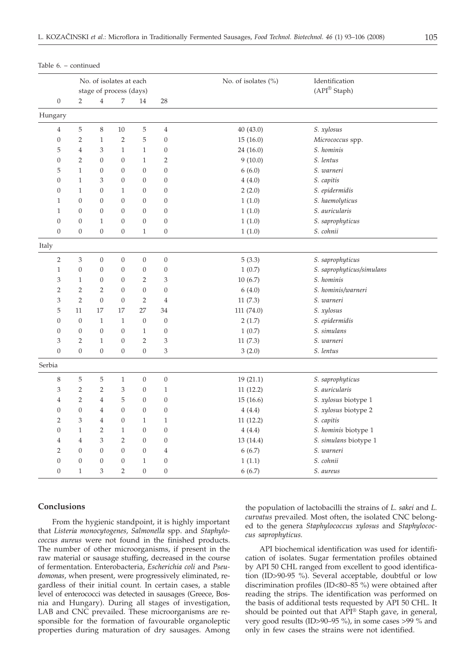|         |                  | No. of isolates at each<br>stage of process (days) |                  |                  |                  |                  | No. of isolates (%) | Identification<br>(API <sup>®</sup> Staph) |
|---------|------------------|----------------------------------------------------|------------------|------------------|------------------|------------------|---------------------|--------------------------------------------|
|         | $\boldsymbol{0}$ | $\overline{2}$                                     | $\overline{4}$   | 7                | 14               | 28               |                     |                                            |
| Hungary |                  |                                                    |                  |                  |                  |                  |                     |                                            |
|         | $\overline{4}$   | 5                                                  | 8                | $10\,$           | 5                | $\overline{4}$   | 40 (43.0)           | S. xylosus                                 |
|         | $\boldsymbol{0}$ | $\overline{2}$                                     | $\mathbf{1}$     | $\overline{2}$   | 5                | 0                | 15(16.0)            | Micrococcus spp.                           |
|         | 5                | $\overline{4}$                                     | 3                | $\mathbf{1}$     | $\mathbf{1}$     | $\boldsymbol{0}$ | 24 (16.0)           | S. hominis                                 |
|         | $\boldsymbol{0}$ | $\overline{2}$                                     | $\overline{0}$   | $\boldsymbol{0}$ | $\mathbf{1}$     | $\overline{2}$   | 9(10.0)             | S. lentus                                  |
|         | 5                | $\mathbf{1}$                                       | $\overline{0}$   | $\overline{0}$   | $\overline{0}$   | $\overline{0}$   | 6(6.0)              | S. warneri                                 |
|         | $\overline{0}$   | $\mathbf{1}$                                       | 3                | $\overline{0}$   | $\overline{0}$   | $\boldsymbol{0}$ | 4(4.0)              | S. capitis                                 |
|         | $\overline{0}$   | $\mathbf{1}$                                       | $\overline{0}$   | $\mathbf{1}$     | $\boldsymbol{0}$ | $\overline{0}$   | 2(2.0)              | S. epidermidis                             |
|         | $\mathbf{1}$     | $\overline{0}$                                     | $\overline{0}$   | $\overline{0}$   | $\overline{0}$   | $\boldsymbol{0}$ | 1(1.0)              | S. haemolyticus                            |
|         | $\mathbf{1}$     | $\overline{0}$                                     | $\mathbf{0}$     | $\overline{0}$   | $\overline{0}$   | $\overline{0}$   | 1(1.0)              | S. auricularis                             |
|         | $\overline{0}$   | $\boldsymbol{0}$                                   | $\mathbf{1}$     | $\overline{0}$   | $\boldsymbol{0}$ | $\boldsymbol{0}$ | 1(1.0)              | S. saprophyticus                           |
|         | $\Omega$         | $\boldsymbol{0}$                                   | $\boldsymbol{0}$ | $\boldsymbol{0}$ | $\mathbf{1}$     | $\boldsymbol{0}$ | 1(1.0)              | S. cohnii                                  |
| Italy   |                  |                                                    |                  |                  |                  |                  |                     |                                            |
|         | $\overline{2}$   | 3                                                  | $\boldsymbol{0}$ | $\boldsymbol{0}$ | $\boldsymbol{0}$ | $\overline{0}$   | 5(3.3)              | S. saprophyticus                           |
|         | $\mathbf{1}$     | $\mathbf{0}$                                       | $\mathbf{0}$     | $\mathbf{0}$     | $\boldsymbol{0}$ | $\boldsymbol{0}$ | 1(0.7)              | S. saprophyticus/simulans                  |
|         | 3                | $\mathbf{1}$                                       | $\overline{0}$   | $\overline{0}$   | $\overline{2}$   | 3                | 10(6.7)             | S. hominis                                 |
|         | $\overline{2}$   | $\overline{2}$                                     | $\overline{2}$   | $\boldsymbol{0}$ | $\boldsymbol{0}$ | $\boldsymbol{0}$ | 6(4.0)              | S. hominis/warneri                         |
|         | 3                | $\overline{2}$                                     | $\overline{0}$   | $\boldsymbol{0}$ | $\overline{2}$   | $\overline{4}$   | 11(7.3)             | S. warneri                                 |
|         | 5                | 11                                                 | 17               | 17               | 27               | 34               | 111 (74.0)          | S. xylosus                                 |
|         | $\boldsymbol{0}$ | $\boldsymbol{0}$                                   | $\mathbf{1}$     | $\mathbf{1}$     | $\boldsymbol{0}$ | $\boldsymbol{0}$ | 2(1.7)              | S. epidermidis                             |
|         | $\overline{0}$   | $\overline{0}$                                     | $\mathbf{0}$     | $\mathbf{0}$     | $\mathbf{1}$     | $\boldsymbol{0}$ | 1(0.7)              | S. simulans                                |
|         | 3                | $\overline{2}$                                     | $\mathbf{1}$     | $\boldsymbol{0}$ | $\overline{2}$   | 3                | 11(7.3)             | S. warneri                                 |
|         | $\overline{0}$   | $\overline{0}$                                     | $\boldsymbol{0}$ | $\boldsymbol{0}$ | $\boldsymbol{0}$ | 3                | 3(2.0)              | S. lentus                                  |
| Serbia  |                  |                                                    |                  |                  |                  |                  |                     |                                            |
|         | $\,$ 8 $\,$      | $\,$ 5 $\,$                                        | $\mathbf 5$      | $\mathbf{1}$     | $\boldsymbol{0}$ | $\boldsymbol{0}$ | 19(21.1)            | S. saprophyticus                           |
|         | 3                | $\overline{2}$                                     | $\overline{2}$   | 3                | $\boldsymbol{0}$ | $\mathbf{1}$     | 11(12.2)            | S. auricularis                             |
|         | $\overline{4}$   | $\overline{2}$                                     | $\overline{4}$   | 5                | $\boldsymbol{0}$ | $\boldsymbol{0}$ | 15(16.6)            | S. xylosus biotype 1                       |
|         | $\boldsymbol{0}$ | $\overline{0}$                                     | 4                | $\overline{0}$   | $\overline{0}$   | $\boldsymbol{0}$ | 4(4.4)              | S. xylosus biotype 2                       |
|         | $\overline{2}$   | 3                                                  | $\overline{4}$   | $\overline{0}$   | $\mathbf{1}$     | $\mathbf{1}$     | 11(12.2)            | S. capitis                                 |
|         | $\boldsymbol{0}$ | $\mathbf{1}$                                       | $\overline{2}$   | $\mathbf{1}$     | $\boldsymbol{0}$ | $\overline{0}$   | 4(4.4)              | S. hominis biotype 1                       |
|         | $\overline{4}$   | $\overline{4}$                                     | 3                | $\overline{2}$   | $\overline{0}$   | $\boldsymbol{0}$ | 13 (14.4)           | S. simulans biotype 1                      |
|         | $\overline{2}$   | $\overline{0}$                                     | $\overline{0}$   | $\overline{0}$   | $\boldsymbol{0}$ | $\overline{4}$   | 6(6.7)              | S. warneri                                 |
|         | $\overline{0}$   | $\boldsymbol{0}$                                   | $\mathbf{0}$     | $\boldsymbol{0}$ | $\mathbf{1}$     | $\boldsymbol{0}$ | 1(1.1)              | S. cohnii                                  |
|         | $\overline{0}$   | $\mathbf{1}$                                       | 3                | $\overline{2}$   | $\overline{0}$   | $\boldsymbol{0}$ | 6(6.7)              | S. aureus                                  |

Table 6. – continued

#### **Conclusions**

From the hygienic standpoint, it is highly important that *Listeria monocytogenes, Salmonella* spp. and *Staphylococcus aureus* were not found in the finished products. The number of other microorganisms, if present in the raw material or sausage stuffing, decreased in the course of fermentation. Enterobacteria, *Escherichia coli* and *Pseudomonas*, when present, were progressively eliminated, regardless of their initial count. In certain cases, a stable level of enterococci was detected in sausages (Greece, Bosnia and Hungary). During all stages of investigation, LAB and CNC prevailed. These microorganisms are responsible for the formation of favourable organoleptic properties during maturation of dry sausages. Among

the population of lactobacilli the strains of *L. sakei* and *L. curvatus* prevailed*.* Most often, the isolated CNC belonged to the genera *Staphylococcus xylosus* and *Staphylococcus saprophyticus.*

API biochemical identification was used for identification of isolates. Sugar fermentation profiles obtained by API 50 CHL ranged from excellent to good identification (ID>90-95 %). Several acceptable, doubtful or low discrimination profiles (ID<80–85 %) were obtained after reading the strips. The identification was performed on the basis of additional tests requested by API 50 CHL. It should be pointed out that API® Staph gave, in general, very good results (ID>90–95 %), in some cases >99 % and only in few cases the strains were not identified.